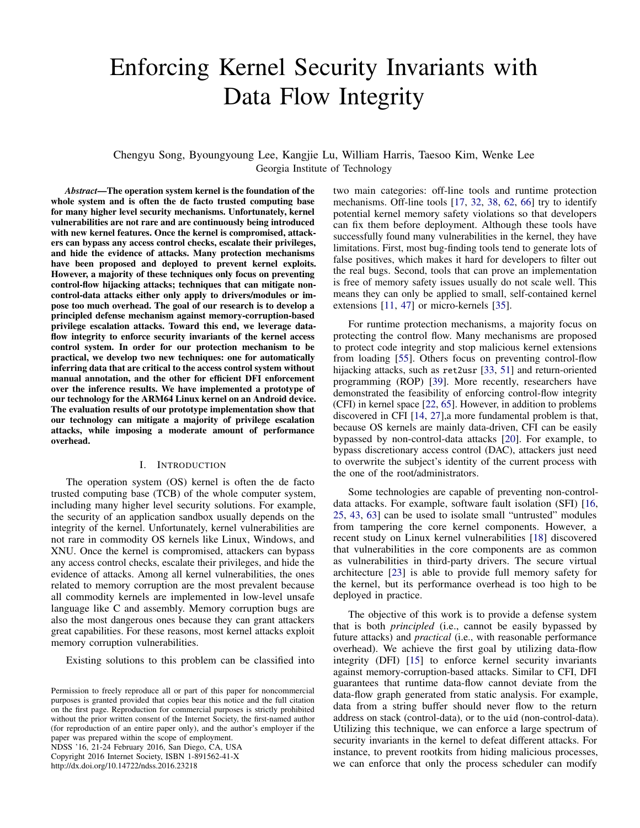# Enforcing Kernel Security Invariants with Data Flow Integrity

# Chengyu Song, Byoungyoung Lee, Kangjie Lu, William Harris, Taesoo Kim, Wenke Lee Georgia Institute of Technology

*Abstract*—The operation system kernel is the foundation of the whole system and is often the de facto trusted computing base for many higher level security mechanisms. Unfortunately, kernel vulnerabilities are not rare and are continuously being introduced with new kernel features. Once the kernel is compromised, attackers can bypass any access control checks, escalate their privileges, and hide the evidence of attacks. Many protection mechanisms have been proposed and deployed to prevent kernel exploits. However, a majority of these techniques only focus on preventing control-flow hijacking attacks; techniques that can mitigate noncontrol-data attacks either only apply to drivers/modules or impose too much overhead. The goal of our research is to develop a principled defense mechanism against memory-corruption-based privilege escalation attacks. Toward this end, we leverage dataflow integrity to enforce security invariants of the kernel access control system. In order for our protection mechanism to be practical, we develop two new techniques: one for automatically inferring data that are critical to the access control system without manual annotation, and the other for efficient DFI enforcement over the inference results. We have implemented a prototype of our technology for the ARM64 Linux kernel on an Android device. The evaluation results of our prototype implementation show that our technology can mitigate a majority of privilege escalation attacks, while imposing a moderate amount of performance overhead.

## I. INTRODUCTION

<span id="page-0-0"></span>The operation system (OS) kernel is often the de facto trusted computing base (TCB) of the whole computer system, including many higher level security solutions. For example, the security of an application sandbox usually depends on the integrity of the kernel. Unfortunately, kernel vulnerabilities are not rare in commodity OS kernels like Linux, Windows, and XNU. Once the kernel is compromised, attackers can bypass any access control checks, escalate their privileges, and hide the evidence of attacks. Among all kernel vulnerabilities, the ones related to memory corruption are the most prevalent because all commodity kernels are implemented in low-level unsafe language like C and assembly. Memory corruption bugs are also the most dangerous ones because they can grant attackers great capabilities. For these reasons, most kernel attacks exploit memory corruption vulnerabilities.

Existing solutions to this problem can be classified into

NDSS '16, 21-24 February 2016, San Diego, CA, USA Copyright 2016 Internet Society, ISBN 1-891562-41-X http://dx.doi.org/10.14722/ndss.2016.23218

two main categories: off-line tools and runtime protection mechanisms. Off-line tools [\[17,](#page-14-0) [32,](#page-14-1) [38,](#page-14-2) [62,](#page-14-3) [66\]](#page-14-4) try to identify potential kernel memory safety violations so that developers can fix them before deployment. Although these tools have successfully found many vulnerabilities in the kernel, they have limitations. First, most bug-finding tools tend to generate lots of false positives, which makes it hard for developers to filter out the real bugs. Second, tools that can prove an implementation is free of memory safety issues usually do not scale well. This means they can only be applied to small, self-contained kernel extensions [\[11,](#page-13-0) [47\]](#page-14-5) or micro-kernels [\[35\]](#page-14-6).

For runtime protection mechanisms, a majority focus on protecting the control flow. Many mechanisms are proposed to protect code integrity and stop malicious kernel extensions from loading [\[55\]](#page-14-7). Others focus on preventing control-flow hijacking attacks, such as ret2usr [\[33,](#page-14-8) [51\]](#page-14-9) and return-oriented programming (ROP) [\[39\]](#page-14-10). More recently, researchers have demonstrated the feasibility of enforcing control-flow integrity (CFI) in kernel space [\[22,](#page-14-11) [65\]](#page-14-12). However, in addition to problems discovered in CFI [\[14,](#page-13-1) [27\]](#page-14-13),a more fundamental problem is that, because OS kernels are mainly data-driven, CFI can be easily bypassed by non-control-data attacks [\[20\]](#page-14-14). For example, to bypass discretionary access control (DAC), attackers just need to overwrite the subject's identity of the current process with the one of the root/administrators.

Some technologies are capable of preventing non-controldata attacks. For example, software fault isolation (SFI) [\[16,](#page-13-2) [25,](#page-14-15) [43,](#page-14-16) [63\]](#page-14-17) can be used to isolate small "untrusted" modules from tampering the core kernel components. However, a recent study on Linux kernel vulnerabilities [\[18\]](#page-14-18) discovered that vulnerabilities in the core components are as common as vulnerabilities in third-party drivers. The secure virtual architecture [\[23\]](#page-14-19) is able to provide full memory safety for the kernel, but its performance overhead is too high to be deployed in practice.

The objective of this work is to provide a defense system that is both *principled* (i.e., cannot be easily bypassed by future attacks) and *practical* (i.e., with reasonable performance overhead). We achieve the first goal by utilizing data-flow integrity (DFI) [\[15\]](#page-13-3) to enforce kernel security invariants against memory-corruption-based attacks. Similar to CFI, DFI guarantees that runtime data-flow cannot deviate from the data-flow graph generated from static analysis. For example, data from a string buffer should never flow to the return address on stack (control-data), or to the uid (non-control-data). Utilizing this technique, we can enforce a large spectrum of security invariants in the kernel to defeat different attacks. For instance, to prevent rootkits from hiding malicious processes, we can enforce that only the process scheduler can modify

Permission to freely reproduce all or part of this paper for noncommercial purposes is granted provided that copies bear this notice and the full citation on the first page. Reproduction for commercial purposes is strictly prohibited without the prior written consent of the Internet Society, the first-named author (for reproduction of an entire paper only), and the author's employer if the paper was prepared within the scope of employment.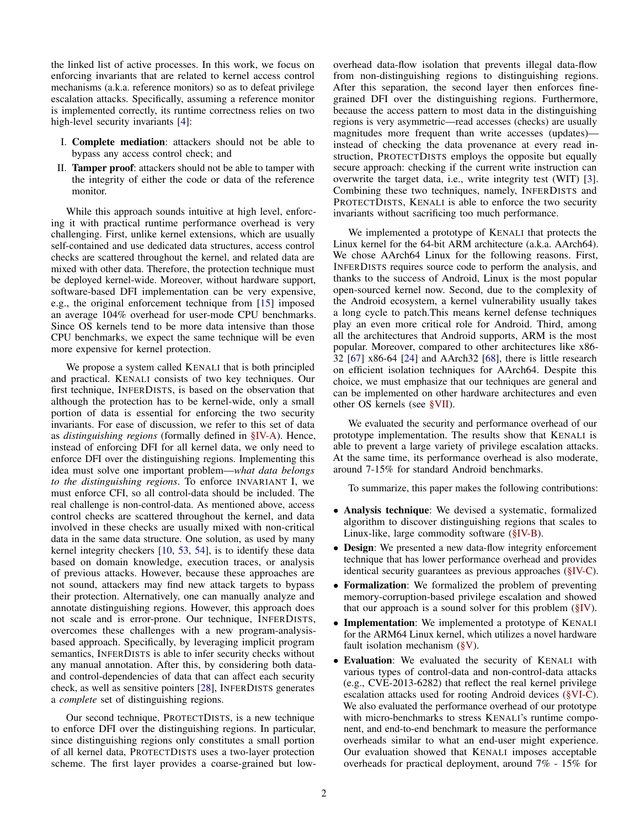the linked list of active processes. In this work, we focus on enforcing invariants that are related to kernel access control mechanisms (a.k.a. reference monitors) so as to defeat privilege escalation attacks. Specifically, assuming a reference monitor is implemented correctly, its runtime correctness relies on two high-level security invariants [\[4\]](#page-13-4):

- I. Complete mediation: attackers should not be able to bypass any access control check; and
- II. Tamper proof: attackers should not be able to tamper with the integrity of either the code or data of the reference monitor.

While this approach sounds intuitive at high level, enforcing it with practical runtime performance overhead is very challenging. First, unlike kernel extensions, which are usually self-contained and use dedicated data structures, access control checks are scattered throughout the kernel, and related data are mixed with other data. Therefore, the protection technique must be deployed kernel-wide. Moreover, without hardware support, software-based DFI implementation can be very expensive, e.g., the original enforcement technique from [\[15\]](#page-13-3) imposed an average 104% overhead for user-mode CPU benchmarks. Since OS kernels tend to be more data intensive than those CPU benchmarks, we expect the same technique will be even more expensive for kernel protection.

We propose a system called KENALI that is both principled and practical. KENALI consists of two key techniques. Our first technique, INFERDISTS, is based on the observation that although the protection has to be kernel-wide, only a small portion of data is essential for enforcing the two security invariants. For ease of discussion, we refer to this set of data as *distinguishing regions* (formally defined in [§IV-A\)](#page-5-0). Hence, instead of enforcing DFI for all kernel data, we only need to enforce DFI over the distinguishing regions. Implementing this idea must solve one important problem—*what data belongs to the distinguishing regions*. To enforce INVARIANT I, we must enforce CFI, so all control-data should be included. The real challenge is non-control-data. As mentioned above, access control checks are scattered throughout the kernel, and data involved in these checks are usually mixed with non-critical data in the same data structure. One solution, as used by many kernel integrity checkers [\[10,](#page-13-5) [53,](#page-14-20) [54\]](#page-14-21), is to identify these data based on domain knowledge, execution traces, or analysis of previous attacks. However, because these approaches are not sound, attackers may find new attack targets to bypass their protection. Alternatively, one can manually analyze and annotate distinguishing regions. However, this approach does not scale and is error-prone. Our technique, INFERDISTS, overcomes these challenges with a new program-analysisbased approach. Specifically, by leveraging implicit program semantics, INFERDISTS is able to infer security checks without any manual annotation. After this, by considering both dataand control-dependencies of data that can affect each security check, as well as sensitive pointers [\[28\]](#page-14-22), INFERDISTS generates a *complete* set of distinguishing regions.

Our second technique, PROTECTDISTS, is a new technique to enforce DFI over the distinguishing regions. In particular, since distinguishing regions only constitutes a small portion of all kernel data, PROTECTDISTS uses a two-layer protection scheme. The first layer provides a coarse-grained but lowoverhead data-flow isolation that prevents illegal data-flow from non-distinguishing regions to distinguishing regions. After this separation, the second layer then enforces finegrained DFI over the distinguishing regions. Furthermore, because the access pattern to most data in the distinguishing regions is very asymmetric—read accesses (checks) are usually magnitudes more frequent than write accesses (updates) instead of checking the data provenance at every read instruction, PROTECTDISTS employs the opposite but equally secure approach: checking if the current write instruction can overwrite the target data, i.e., write integrity test (WIT) [\[3\]](#page-13-6). Combining these two techniques, namely, INFERDISTS and PROTECTDISTS, KENALI is able to enforce the two security invariants without sacrificing too much performance.

We implemented a prototype of KENALI that protects the Linux kernel for the 64-bit ARM architecture (a.k.a. AArch64). We chose AArch64 Linux for the following reasons. First, INFERDISTS requires source code to perform the analysis, and thanks to the success of Android, Linux is the most popular open-sourced kernel now. Second, due to the complexity of the Android ecosystem, a kernel vulnerability usually takes a long cycle to patch.This means kernel defense techniques play an even more critical role for Android. Third, among all the architectures that Android supports, ARM is the most popular. Moreover, compared to other architectures like x86- 32 [\[67\]](#page-14-23) x86-64 [\[24\]](#page-14-24) and AArch32 [\[68\]](#page-14-25), there is little research on efficient isolation techniques for AArch64. Despite this choice, we must emphasize that our techniques are general and can be implemented on other hardware architectures and even other OS kernels (see [§VII\)](#page-12-0).

We evaluated the security and performance overhead of our prototype implementation. The results show that KENALI is able to prevent a large variety of privilege escalation attacks. At the same time, its performance overhead is also moderate, around 7-15% for standard Android benchmarks.

To summarize, this paper makes the following contributions:

- Analysis technique: We devised a systematic, formalized algorithm to discover distinguishing regions that scales to Linux-like, large commodity software [\(§IV-B\)](#page-6-0).
- Design: We presented a new data-flow integrity enforcement technique that has lower performance overhead and provides identical security guarantees as previous approaches [\(§IV-C\)](#page-7-0).
- Formalization: We formalized the problem of preventing memory-corruption-based privilege escalation and showed that our approach is a sound solver for this problem [\(§IV\)](#page-5-1).
- Implementation: We implemented a prototype of KENALI for the ARM64 Linux kernel, which utilizes a novel hardware fault isolation mechanism [\(§V\)](#page-7-1).
- Evaluation: We evaluated the security of KENALI with various types of control-data and non-control-data attacks (e.g., CVE-2013-6282) that reflect the real kernel privilege escalation attacks used for rooting Android devices [\(§VI-C\)](#page-10-0). We also evaluated the performance overhead of our prototype with micro-benchmarks to stress KENALI's runtime component, and end-to-end benchmark to measure the performance overheads similar to what an end-user might experience. Our evaluation showed that KENALI imposes acceptable overheads for practical deployment, around 7% - 15% for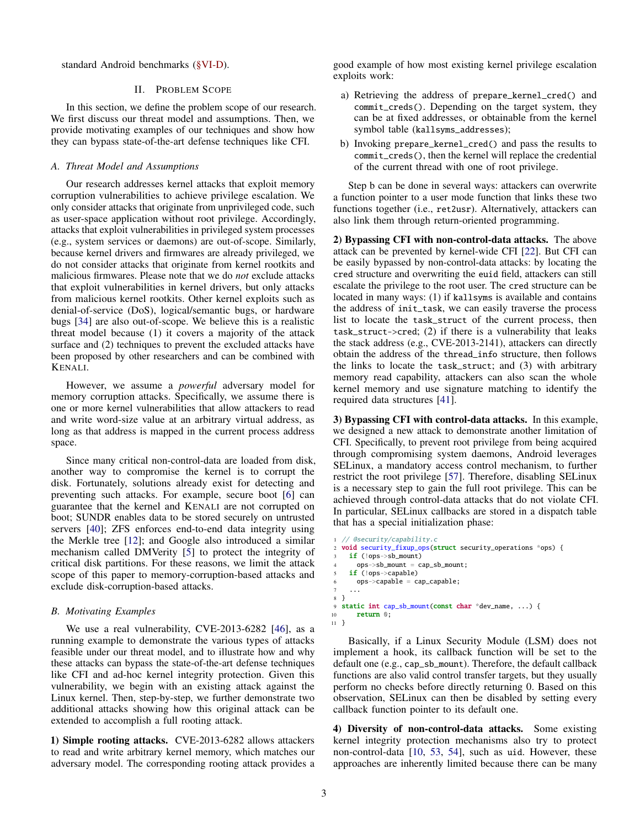standard Android benchmarks [\(§VI-D\)](#page-11-0).

# II. PROBLEM SCOPE

In this section, we define the problem scope of our research. We first discuss our threat model and assumptions. Then, we provide motivating examples of our techniques and show how they can bypass state-of-the-art defense techniques like CFI.

# *A. Threat Model and Assumptions*

Our research addresses kernel attacks that exploit memory corruption vulnerabilities to achieve privilege escalation. We only consider attacks that originate from unprivileged code, such as user-space application without root privilege. Accordingly, attacks that exploit vulnerabilities in privileged system processes (e.g., system services or daemons) are out-of-scope. Similarly, because kernel drivers and firmwares are already privileged, we do not consider attacks that originate from kernel rootkits and malicious firmwares. Please note that we do *not* exclude attacks that exploit vulnerabilities in kernel drivers, but only attacks from malicious kernel rootkits. Other kernel exploits such as denial-of-service (DoS), logical/semantic bugs, or hardware bugs [\[34\]](#page-14-26) are also out-of-scope. We believe this is a realistic threat model because (1) it covers a majority of the attack surface and  $(2)$  techniques to prevent the excluded attacks have been proposed by other researchers and can be combined with KENALI.

However, we assume a *powerful* adversary model for memory corruption attacks. Specifically, we assume there is one or more kernel vulnerabilities that allow attackers to read and write word-size value at an arbitrary virtual address, as long as that address is mapped in the current process address space.

Since many critical non-control-data are loaded from disk, another way to compromise the kernel is to corrupt the disk. Fortunately, solutions already exist for detecting and preventing such attacks. For example, secure boot [\[6\]](#page-13-7) can guarantee that the kernel and KENALI are not corrupted on boot; SUNDR enables data to be stored securely on untrusted servers [\[40\]](#page-14-27); ZFS enforces end-to-end data integrity using the Merkle tree [\[12\]](#page-13-8); and Google also introduced a similar mechanism called DMVerity [\[5\]](#page-13-9) to protect the integrity of critical disk partitions. For these reasons, we limit the attack scope of this paper to memory-corruption-based attacks and exclude disk-corruption-based attacks.

# <span id="page-2-0"></span>*B. Motivating Examples*

We use a real vulnerability, CVE-2013-6282 [\[46\]](#page-14-28), as a running example to demonstrate the various types of attacks feasible under our threat model, and to illustrate how and why these attacks can bypass the state-of-the-art defense techniques like CFI and ad-hoc kernel integrity protection. Given this vulnerability, we begin with an existing attack against the Linux kernel. Then, step-by-step, we further demonstrate two additional attacks showing how this original attack can be extended to accomplish a full rooting attack.

1) Simple rooting attacks. CVE-2013-6282 allows attackers to read and write arbitrary kernel memory, which matches our adversary model. The corresponding rooting attack provides a good example of how most existing kernel privilege escalation exploits work:

- a) Retrieving the address of prepare\_kernel\_cred() and commit\_creds(). Depending on the target system, they can be at fixed addresses, or obtainable from the kernel symbol table (kallsyms\_addresses);
- b) Invoking prepare\_kernel\_cred() and pass the results to commit\_creds(), then the kernel will replace the credential of the current thread with one of root privilege.

Step b can be done in several ways: attackers can overwrite a function pointer to a user mode function that links these two functions together (i.e., ret2usr). Alternatively, attackers can also link them through return-oriented programming.

2) Bypassing CFI with non-control-data attacks. The above attack can be prevented by kernel-wide CFI [\[22\]](#page-14-11). But CFI can be easily bypassed by non-control-data attacks: by locating the cred structure and overwriting the euid field, attackers can still escalate the privilege to the root user. The cred structure can be located in many ways: (1) if kallsyms is available and contains the address of init\_task, we can easily traverse the process list to locate the task\_struct of the current process, then task\_struct->cred; (2) if there is a vulnerability that leaks the stack address (e.g., CVE-2013-2141), attackers can directly obtain the address of the thread\_info structure, then follows the links to locate the task\_struct; and (3) with arbitrary memory read capability, attackers can also scan the whole kernel memory and use signature matching to identify the required data structures [\[41\]](#page-14-29).

3) Bypassing CFI with control-data attacks. In this example, we designed a new attack to demonstrate another limitation of CFI. Specifically, to prevent root privilege from being acquired through compromising system daemons, Android leverages SELinux, a mandatory access control mechanism, to further restrict the root privilege [\[57\]](#page-14-30). Therefore, disabling SELinux is a necessary step to gain the full root privilege. This can be achieved through control-data attacks that do not violate CFI. In particular, SELinux callbacks are stored in a dispatch table that has a special initialization phase:

```
1 // @security/capability.c
  void security_fixup_ops(struct security_operations *ops) {
    if (!ops->sb_mount)
      4 ops->sb_mount = cap_sb_mount;
    if (!ops->capable)
      ops->capable = cap_capable;
 7 ...
8 }
9 static int cap_sb_mount(const char *dev_name, ...) {
10 return 0;
11 }
```
Basically, if a Linux Security Module (LSM) does not implement a hook, its callback function will be set to the default one (e.g., cap\_sb\_mount). Therefore, the default callback functions are also valid control transfer targets, but they usually perform no checks before directly returning 0. Based on this observation, SELinux can then be disabled by setting every callback function pointer to its default one.

4) Diversity of non-control-data attacks. Some existing kernel integrity protection mechanisms also try to protect non-control-data [\[10,](#page-13-5) [53,](#page-14-20) [54\]](#page-14-21), such as uid. However, these approaches are inherently limited because there can be many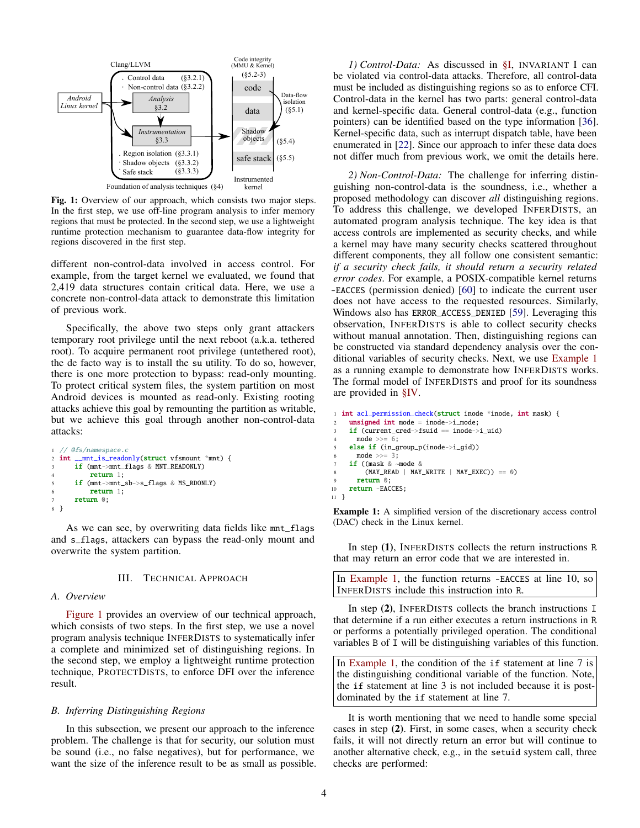<span id="page-3-0"></span>

Fig. 1: Overview of our approach, which consists two major steps. In the first step, we use off-line program analysis to infer memory regions that must be protected. In the second step, we use a lightweight runtime protection mechanism to guarantee data-flow integrity for regions discovered in the first step.

different non-control-data involved in access control. For example, from the target kernel we evaluated, we found that 2,419 data structures contain critical data. Here, we use a concrete non-control-data attack to demonstrate this limitation of previous work.

Specifically, the above two steps only grant attackers temporary root privilege until the next reboot (a.k.a. tethered root). To acquire permanent root privilege (untethered root), the de facto way is to install the su utility. To do so, however, there is one more protection to bypass: read-only mounting. To protect critical system files, the system partition on most Android devices is mounted as read-only. Existing rooting attacks achieve this goal by remounting the partition as writable, but we achieve this goal through another non-control-data attacks:

```
1 // @fs/namespace.c
2 int __mnt_is_readonly(struct vfsmount *mnt) {
     if (mnt->mnt_flags & MNT_READONLY)
         return 1:
      if (mnt->mnt_sb->s_flags & MS_RDONLY)
6 return 1;
7 return 0;
8 }
```
As we can see, by overwriting data fields like mnt\_flags and s\_flags, attackers can bypass the read-only mount and overwrite the system partition.

## III. TECHNICAL APPROACH

## *A. Overview*

[Figure 1](#page-3-0) provides an overview of our technical approach, which consists of two steps. In the first step, we use a novel program analysis technique INFERDISTS to systematically infer a complete and minimized set of distinguishing regions. In the second step, we employ a lightweight runtime protection technique, PROTECTDISTS, to enforce DFI over the inference result.

#### *B. Inferring Distinguishing Regions*

In this subsection, we present our approach to the inference problem. The challenge is that for security, our solution must be sound (i.e., no false negatives), but for performance, we want the size of the inference result to be as small as possible.

*1) Control-Data:* As discussed in [§I,](#page-0-0) INVARIANT I can be violated via control-data attacks. Therefore, all control-data must be included as distinguishing regions so as to enforce CFI. Control-data in the kernel has two parts: general control-data and kernel-specific data. General control-data (e.g., function pointers) can be identified based on the type information [\[36\]](#page-14-31). Kernel-specific data, such as interrupt dispatch table, have been enumerated in [\[22\]](#page-14-11). Since our approach to infer these data does not differ much from previous work, we omit the details here.

*2) Non-Control-Data:* The challenge for inferring distinguishing non-control-data is the soundness, i.e., whether a proposed methodology can discover *all* distinguishing regions. To address this challenge, we developed INFERDISTS, an automated program analysis technique. The key idea is that access controls are implemented as security checks, and while a kernel may have many security checks scattered throughout different components, they all follow one consistent semantic: *if a security check fails, it should return a security related error codes*. For example, a POSIX-compatible kernel returns -EACCES (permission denied) [\[60\]](#page-14-32) to indicate the current user does not have access to the requested resources. Similarly, Windows also has ERROR\_ACCESS\_DENIED [\[59\]](#page-14-33). Leveraging this observation, INFERDISTS is able to collect security checks without manual annotation. Then, distinguishing regions can be constructed via standard dependency analysis over the conditional variables of security checks. Next, we use [Example 1](#page-3-1) as a running example to demonstrate how INFERDISTS works. The formal model of INFERDISTS and proof for its soundness are provided in [§IV.](#page-5-1)

```
1 int acl_permission_check(struct inode *inode, int mask) {
     unsigned int mode = inode->i mode;
     if (current_cred->fsuid == inode->i_uid)
       mode \gg= 6;
     else if (in_group_p(inode->i_gid))
      mode >>=3;
     if ((mask & ~mode &
         (MAY\_READ \mid MAY\_WRTTE \mid MAY\_EXEC) == 0)
       return 0:
10 return -EACCES;
11 }
```
Example 1: A simplified version of the discretionary access control (DAC) check in the Linux kernel.

In step (1), INFERDISTS collects the return instructions R that may return an error code that we are interested in.

In [Example 1,](#page-3-1) the function returns -EACCES at line 10, so INFERDISTS include this instruction into R.

In step (2), INFERDISTS collects the branch instructions I that determine if a run either executes a return instructions in R or performs a potentially privileged operation. The conditional variables B of I will be distinguishing variables of this function.

In [Example 1,](#page-3-1) the condition of the if statement at line 7 is the distinguishing conditional variable of the function. Note, the if statement at line 3 is not included because it is postdominated by the if statement at line 7.

It is worth mentioning that we need to handle some special cases in step (2). First, in some cases, when a security check fails, it will not directly return an error but will continue to another alternative check, e.g., in the setuid system call, three checks are performed: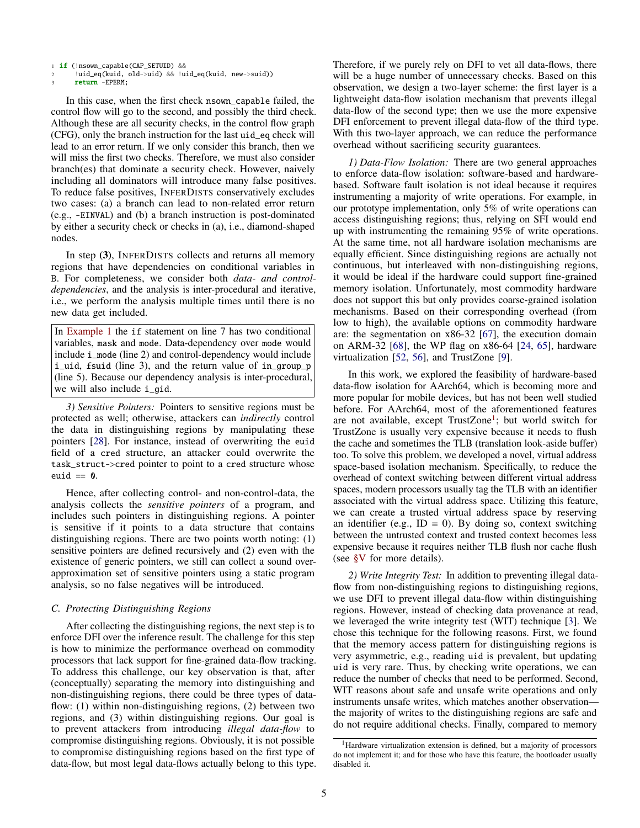return -EPERM:

In this case, when the first check nsown\_capable failed, the control flow will go to the second, and possibly the third check. Although these are all security checks, in the control flow graph (CFG), only the branch instruction for the last uid\_eq check will lead to an error return. If we only consider this branch, then we will miss the first two checks. Therefore, we must also consider branch(es) that dominate a security check. However, naively including all dominators will introduce many false positives. To reduce false positives, INFERDISTS conservatively excludes two cases: (a) a branch can lead to non-related error return (e.g., -EINVAL) and (b) a branch instruction is post-dominated by either a security check or checks in (a), i.e., diamond-shaped nodes.

In step (3), INFERDISTS collects and returns all memory regions that have dependencies on conditional variables in B. For completeness, we consider both *data- and controldependencies*, and the analysis is inter-procedural and iterative, i.e., we perform the analysis multiple times until there is no new data get included.

In [Example 1](#page-3-1) the if statement on line 7 has two conditional variables, mask and mode. Data-dependency over mode would include i\_mode (line 2) and control-dependency would include i\_uid, fsuid (line 3), and the return value of in\_group\_p (line 5). Because our dependency analysis is inter-procedural, we will also include i\_gid.

*3) Sensitive Pointers:* Pointers to sensitive regions must be protected as well; otherwise, attackers can *indirectly* control the data in distinguishing regions by manipulating these pointers [\[28\]](#page-14-22). For instance, instead of overwriting the euid field of a cred structure, an attacker could overwrite the task\_struct->cred pointer to point to a cred structure whose euid  $== 0$ .

Hence, after collecting control- and non-control-data, the analysis collects the *sensitive pointers* of a program, and includes such pointers in distinguishing regions. A pointer is sensitive if it points to a data structure that contains distinguishing regions. There are two points worth noting: (1) sensitive pointers are defined recursively and (2) even with the existence of generic pointers, we still can collect a sound overapproximation set of sensitive pointers using a static program analysis, so no false negatives will be introduced.

# *C. Protecting Distinguishing Regions*

After collecting the distinguishing regions, the next step is to enforce DFI over the inference result. The challenge for this step is how to minimize the performance overhead on commodity processors that lack support for fine-grained data-flow tracking. To address this challenge, our key observation is that, after (conceptually) separating the memory into distinguishing and non-distinguishing regions, there could be three types of dataflow: (1) within non-distinguishing regions, (2) between two regions, and (3) within distinguishing regions. Our goal is to prevent attackers from introducing *illegal data-flow* to compromise distinguishing regions. Obviously, it is not possible to compromise distinguishing regions based on the first type of data-flow, but most legal data-flows actually belong to this type. Therefore, if we purely rely on DFI to vet all data-flows, there will be a huge number of unnecessary checks. Based on this observation, we design a two-layer scheme: the first layer is a lightweight data-flow isolation mechanism that prevents illegal data-flow of the second type; then we use the more expensive DFI enforcement to prevent illegal data-flow of the third type. With this two-layer approach, we can reduce the performance overhead without sacrificing security guarantees.

*1) Data-Flow Isolation:* There are two general approaches to enforce data-flow isolation: software-based and hardwarebased. Software fault isolation is not ideal because it requires instrumenting a majority of write operations. For example, in our prototype implementation, only 5% of write operations can access distinguishing regions; thus, relying on SFI would end up with instrumenting the remaining 95% of write operations. At the same time, not all hardware isolation mechanisms are equally efficient. Since distinguishing regions are actually not continuous, but interleaved with non-distinguishing regions, it would be ideal if the hardware could support fine-grained memory isolation. Unfortunately, most commodity hardware does not support this but only provides coarse-grained isolation mechanisms. Based on their corresponding overhead (from low to high), the available options on commodity hardware are: the segmentation on x86-32 [\[67\]](#page-14-23), the execution domain on ARM-32 [\[68\]](#page-14-25), the WP flag on x86-64 [\[24,](#page-14-24) [65\]](#page-14-12), hardware virtualization [\[52,](#page-14-34) [56\]](#page-14-35), and TrustZone [\[9\]](#page-13-10).

In this work, we explored the feasibility of hardware-based data-flow isolation for AArch64, which is becoming more and more popular for mobile devices, but has not been well studied before. For AArch64, most of the aforementioned features are not available, except TrustZone<sup>[1](#page-4-0)</sup>; but world switch for TrustZone is usually very expensive because it needs to flush the cache and sometimes the TLB (translation look-aside buffer) too. To solve this problem, we developed a novel, virtual address space-based isolation mechanism. Specifically, to reduce the overhead of context switching between different virtual address spaces, modern processors usually tag the TLB with an identifier associated with the virtual address space. Utilizing this feature, we can create a trusted virtual address space by reserving an identifier (e.g.,  $ID = 0$ ). By doing so, context switching between the untrusted context and trusted context becomes less expensive because it requires neither TLB flush nor cache flush (see [§V](#page-7-1) for more details).

*2) Write Integrity Test:* In addition to preventing illegal dataflow from non-distinguishing regions to distinguishing regions, we use DFI to prevent illegal data-flow within distinguishing regions. However, instead of checking data provenance at read, we leveraged the write integrity test (WIT) technique [\[3\]](#page-13-6). We chose this technique for the following reasons. First, we found that the memory access pattern for distinguishing regions is very asymmetric, e.g., reading uid is prevalent, but updating uid is very rare. Thus, by checking write operations, we can reduce the number of checks that need to be performed. Second, WIT reasons about safe and unsafe write operations and only instruments unsafe writes, which matches another observation the majority of writes to the distinguishing regions are safe and do not require additional checks. Finally, compared to memory

<sup>1</sup> if (!nsown\_capable(CAP\_SETUID) &&

<sup>2</sup> !uid\_eq(kuid, old->uid) && !uid\_eq(kuid, new->suid))

<span id="page-4-0"></span><sup>&</sup>lt;sup>1</sup>Hardware virtualization extension is defined, but a majority of processors do not implement it; and for those who have this feature, the bootloader usually disabled it.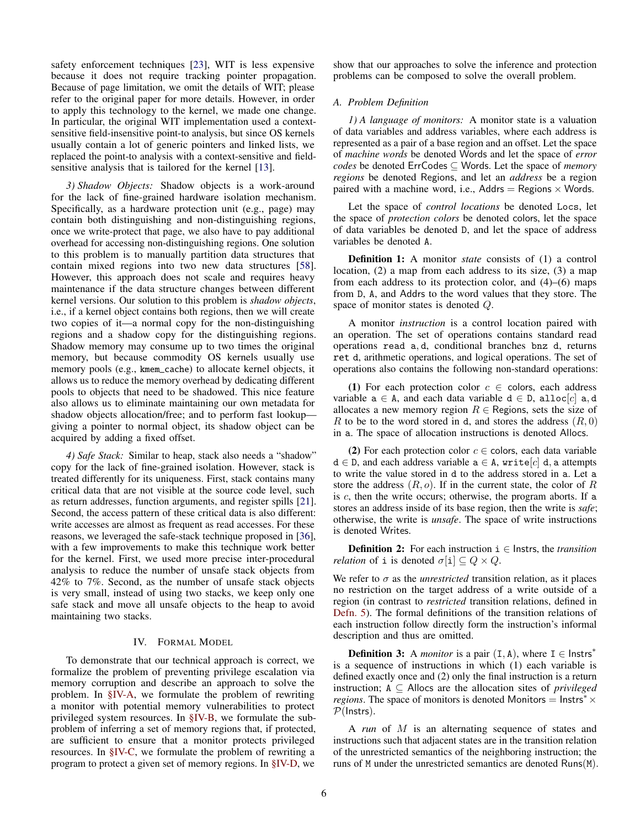safety enforcement techniques [\[23\]](#page-14-19), WIT is less expensive because it does not require tracking pointer propagation. Because of page limitation, we omit the details of WIT; please refer to the original paper for more details. However, in order to apply this technology to the kernel, we made one change. In particular, the original WIT implementation used a contextsensitive field-insensitive point-to analysis, but since OS kernels usually contain a lot of generic pointers and linked lists, we replaced the point-to analysis with a context-sensitive and fieldsensitive analysis that is tailored for the kernel [\[13\]](#page-13-11).

*3) Shadow Objects:* Shadow objects is a work-around for the lack of fine-grained hardware isolation mechanism. Specifically, as a hardware protection unit (e.g., page) may contain both distinguishing and non-distinguishing regions, once we write-protect that page, we also have to pay additional overhead for accessing non-distinguishing regions. One solution to this problem is to manually partition data structures that contain mixed regions into two new data structures [\[58\]](#page-14-36). However, this approach does not scale and requires heavy maintenance if the data structure changes between different kernel versions. Our solution to this problem is *shadow objects*, i.e., if a kernel object contains both regions, then we will create two copies of it—a normal copy for the non-distinguishing regions and a shadow copy for the distinguishing regions. Shadow memory may consume up to two times the original memory, but because commodity OS kernels usually use memory pools (e.g., kmem\_cache) to allocate kernel objects, it allows us to reduce the memory overhead by dedicating different pools to objects that need to be shadowed. This nice feature also allows us to eliminate maintaining our own metadata for shadow objects allocation/free; and to perform fast lookup giving a pointer to normal object, its shadow object can be acquired by adding a fixed offset.

*4) Safe Stack:* Similar to heap, stack also needs a "shadow" copy for the lack of fine-grained isolation. However, stack is treated differently for its uniqueness. First, stack contains many critical data that are not visible at the source code level, such as return addresses, function arguments, and register spills [\[21\]](#page-14-37). Second, the access pattern of these critical data is also different: write accesses are almost as frequent as read accesses. For these reasons, we leveraged the safe-stack technique proposed in [\[36\]](#page-14-31), with a few improvements to make this technique work better for the kernel. First, we used more precise inter-procedural analysis to reduce the number of unsafe stack objects from 42% to 7%. Second, as the number of unsafe stack objects is very small, instead of using two stacks, we keep only one safe stack and move all unsafe objects to the heap to avoid maintaining two stacks.

# IV. FORMAL MODEL

<span id="page-5-1"></span>To demonstrate that our technical approach is correct, we formalize the problem of preventing privilege escalation via memory corruption and describe an approach to solve the problem. In [§IV-A,](#page-5-0) we formulate the problem of rewriting a monitor with potential memory vulnerabilities to protect privileged system resources. In [§IV-B,](#page-6-0) we formulate the subproblem of inferring a set of memory regions that, if protected, are sufficient to ensure that a monitor protects privileged resources. In [§IV-C,](#page-7-0) we formulate the problem of rewriting a program to protect a given set of memory regions. In [§IV-D,](#page-7-2) we

show that our approaches to solve the inference and protection problems can be composed to solve the overall problem.

# <span id="page-5-0"></span>*A. Problem Definition*

*1) A language of monitors:* A monitor state is a valuation of data variables and address variables, where each address is represented as a pair of a base region and an offset. Let the space of *machine words* be denoted Words and let the space of *error codes* be denoted ErrCodes ⊆ Words. Let the space of *memory regions* be denoted Regions, and let an *address* be a region paired with a machine word, i.e., Addrs = Regions  $\times$  Words.

Let the space of *control locations* be denoted Locs, let the space of *protection colors* be denoted colors, let the space of data variables be denoted D, and let the space of address variables be denoted A.

Definition 1: A monitor *state* consists of (1) a control location, (2) a map from each address to its size, (3) a map from each address to its protection color, and (4)–(6) maps from D, A, and Addrs to the word values that they store. The space of monitor states is denoted Q.

A monitor *instruction* is a control location paired with an operation. The set of operations contains standard read operations read a, d, conditional branches bnz d, returns ret d, arithmetic operations, and logical operations. The set of operations also contains the following non-standard operations:

(1) For each protection color  $c \in$  colors, each address variable  $a \in A$ , and each data variable  $d \in D$ , alloc $[c]$  a, d allocates a new memory region  $R \in$  Regions, sets the size of R to be to the word stored in d, and stores the address  $(R, 0)$ in a. The space of allocation instructions is denoted Allocs.

(2) For each protection color  $c \in$  colors, each data variable  $d \in D$ , and each address variable  $a \in A$ , write[c] d, a attempts to write the value stored in d to the address stored in a. Let a store the address  $(R, o)$ . If in the current state, the color of R is  $c$ , then the write occurs; otherwise, the program aborts. If a stores an address inside of its base region, then the write is *safe*; otherwise, the write is *unsafe*. The space of write instructions is denoted Writes.

<span id="page-5-3"></span>**Definition 2:** For each instruction  $i \in$  Instrs, the *transition relation* of i is denoted  $\sigma[i] \subseteq Q \times Q$ .

We refer to  $\sigma$  as the *unrestricted* transition relation, as it places no restriction on the target address of a write outside of a region (in contrast to *restricted* transition relations, defined in [Defn. 5\)](#page-6-1). The formal definitions of the transition relations of each instruction follow directly form the instruction's informal description and thus are omitted.

<span id="page-5-2"></span>**Definition 3:** A *monitor* is a pair  $(I, A)$ , where  $I \in$  lnstrs<sup>\*</sup> is a sequence of instructions in which (1) each variable is defined exactly once and (2) only the final instruction is a return instruction; A ⊆ Allocs are the allocation sites of *privileged regions*. The space of monitors is denoted Monitors =  $\text{Instrs}^* \times$  $P($ Instrs).

A *run* of M is an alternating sequence of states and instructions such that adjacent states are in the transition relation of the unrestricted semantics of the neighboring instruction; the runs of M under the unrestricted semantics are denoted Runs(M).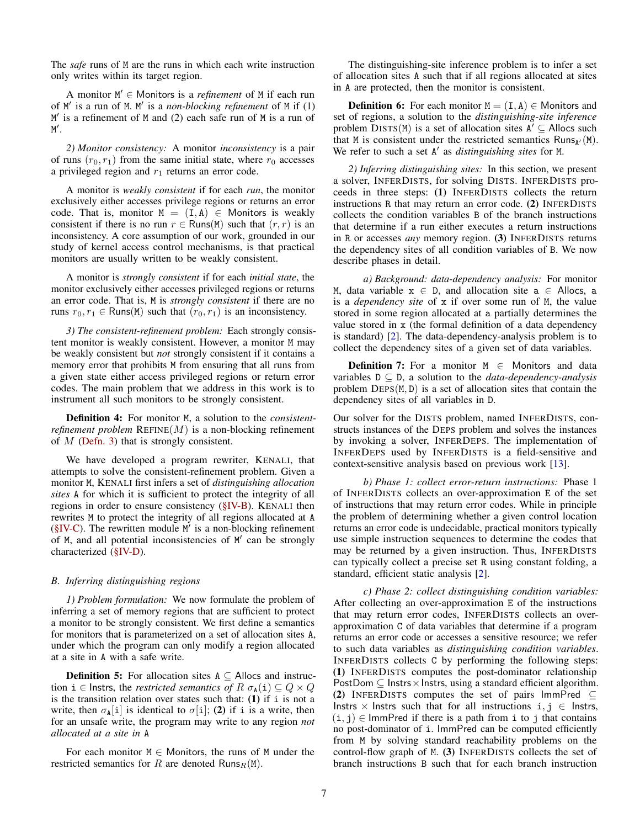The *safe* runs of M are the runs in which each write instruction only writes within its target region.

A monitor M <sup>0</sup> ∈ Monitors is a *refinement* of M if each run of M' is a run of M. M' is a *non-blocking refinement* of M if (1) M' is a refinement of M and (2) each safe run of M is a run of M'.

*2) Monitor consistency:* A monitor *inconsistency* is a pair of runs  $(r_0, r_1)$  from the same initial state, where  $r_0$  accesses a privileged region and  $r_1$  returns an error code.

A monitor is *weakly consistent* if for each *run*, the monitor exclusively either accesses privilege regions or returns an error code. That is, monitor  $M = (I, A) \in$  Monitors is weakly consistent if there is no run  $r \in$  Runs(M) such that  $(r, r)$  is an inconsistency. A core assumption of our work, grounded in our study of kernel access control mechanisms, is that practical monitors are usually written to be weakly consistent.

A monitor is *strongly consistent* if for each *initial state*, the monitor exclusively either accesses privileged regions or returns an error code. That is, M is *strongly consistent* if there are no runs  $r_0, r_1 \in \text{Runs}(M)$  such that  $(r_0, r_1)$  is an inconsistency.

*3) The consistent-refinement problem:* Each strongly consistent monitor is weakly consistent. However, a monitor M may be weakly consistent but *not* strongly consistent if it contains a memory error that prohibits M from ensuring that all runs from a given state either access privileged regions or return error codes. The main problem that we address in this work is to instrument all such monitors to be strongly consistent.

Definition 4: For monitor M, a solution to the *consistentrefinement problem*  $REFINE(M)$  is a non-blocking refinement of  $M$  [\(Defn. 3\)](#page-5-2) that is strongly consistent.

We have developed a program rewriter, KENALI, that attempts to solve the consistent-refinement problem. Given a monitor M, KENALI first infers a set of *distinguishing allocation sites* A for which it is sufficient to protect the integrity of all regions in order to ensure consistency [\(§IV-B\)](#page-6-0). KENALI then rewrites M to protect the integrity of all regions allocated at A  $(\S$ IV-C). The rewritten module  $M'$  is a non-blocking refinement of M, and all potential inconsistencies of M' can be strongly characterized [\(§IV-D\)](#page-7-2).

## <span id="page-6-0"></span>*B. Inferring distinguishing regions*

*1) Problem formulation:* We now formulate the problem of inferring a set of memory regions that are sufficient to protect a monitor to be strongly consistent. We first define a semantics for monitors that is parameterized on a set of allocation sites A, under which the program can only modify a region allocated at a site in A with a safe write.

<span id="page-6-1"></span>**Definition 5:** For allocation sites  $A \subseteq$  Allocs and instruction  $i \in$  Instrs, the *restricted semantics of*  $R \sigma_{A}(i) \subseteq Q \times Q$ is the transition relation over states such that:  $(1)$  if i is not a write, then  $\sigma_{\rm A}[i]$  is identical to  $\sigma[i]$ ; (2) if i is a write, then for an unsafe write, the program may write to any region *not allocated at a site in* A

For each monitor  $M \in$  Monitors, the runs of M under the restricted semantics for R are denoted Runs $_R(M)$ .

The distinguishing-site inference problem is to infer a set of allocation sites A such that if all regions allocated at sites in A are protected, then the monitor is consistent.

**Definition 6:** For each monitor  $M = (I, A) \in$  Monitors and set of regions, a solution to the *distinguishing-site inference* problem  $\overline{D}$ ISTS(M) is a set of allocation sites  $A^{\prime} \subseteq$  Allocs such that M is consistent under the restricted semantics  $Runs_{A'}(M)$ . We refer to such a set A' as *distinguishing sites* for M.

*2) Inferring distinguishing sites:* In this section, we present a solver, INFERDISTS, for solving DISTS. INFERDISTS proceeds in three steps: (1) INFERDISTS collects the return instructions R that may return an error code. (2) INFERDISTS collects the condition variables B of the branch instructions that determine if a run either executes a return instructions in R or accesses *any* memory region. (3) INFERDISTS returns the dependency sites of all condition variables of B. We now describe phases in detail.

*a) Background: data-dependency analysis:* For monitor M, data variable  $x \in D$ , and allocation site  $a \in A$ llocs, a is a *dependency site* of x if over some run of M, the value stored in some region allocated at a partially determines the value stored in x (the formal definition of a data dependency is standard) [\[2\]](#page-13-12). The data-dependency-analysis problem is to collect the dependency sites of a given set of data variables.

<span id="page-6-2"></span>**Definition 7:** For a monitor  $M \in$  Monitors and data variables D ⊆ D, a solution to the *data-dependency-analysis* problem  $DEPS(M, D)$  is a set of allocation sites that contain the dependency sites of all variables in D.

Our solver for the DISTS problem, named INFERDISTS, constructs instances of the DEPS problem and solves the instances by invoking a solver, INFERDEPS. The implementation of INFERDEPS used by INFERDISTS is a field-sensitive and context-sensitive analysis based on previous work [\[13\]](#page-13-11).

*b) Phase 1: collect error-return instructions:* Phase 1 of INFERDISTS collects an over-approximation E of the set of instructions that may return error codes. While in principle the problem of determining whether a given control location returns an error code is undecidable, practical monitors typically use simple instruction sequences to determine the codes that may be returned by a given instruction. Thus, INFERDISTS can typically collect a precise set R using constant folding, a standard, efficient static analysis [\[2\]](#page-13-12).

*c) Phase 2: collect distinguishing condition variables:* After collecting an over-approximation E of the instructions that may return error codes, INFERDISTS collects an overapproximation C of data variables that determine if a program returns an error code or accesses a sensitive resource; we refer to such data variables as *distinguishing condition variables*. INFERDISTS collects C by performing the following steps: (1) INFERDISTS computes the post-dominator relationship PostDom  $\subseteq$  Instrs  $\times$  Instrs, using a standard efficient algorithm. (2) INFERDISTS computes the set of pairs ImmPred  $\subseteq$ Instrs × Instrs such that for all instructions  $i, j \in I$ nstrs,  $(i, j) \in$  ImmPred if there is a path from i to j that contains no post-dominator of i. ImmPred can be computed efficiently from M by solving standard reachability problems on the control-flow graph of M. (3) INFERDISTS collects the set of branch instructions B such that for each branch instruction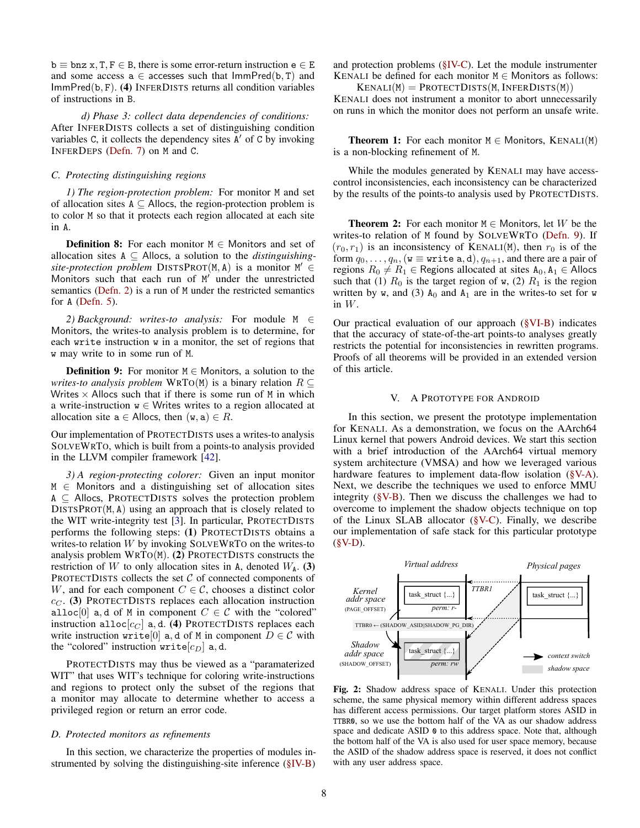$b \equiv bnz \times T$ ,  $F \in B$ , there is some error-return instruction  $e \in E$ and some access a  $\in$  accesses such that  $\text{ImmPred}(b, T)$  and ImmPred(b, F). (4) INFERDISTS returns all condition variables of instructions in B.

*d) Phase 3: collect data dependencies of conditions:* After INFERDISTS collects a set of distinguishing condition variables C, it collects the dependency sites  $A'$  of C by invoking INFERDEPS [\(Defn. 7\)](#page-6-2) on M and C.

#### <span id="page-7-0"></span>*C. Protecting distinguishing regions*

*1) The region-protection problem:* For monitor M and set of allocation sites  $A \subseteq$  Allocs, the region-protection problem is to color M so that it protects each region allocated at each site in A.

**Definition 8:** For each monitor  $M \in$  Monitors and set of allocation sites A ⊆ Allocs, a solution to the *distinguishing*site-protection problem  $DISTSPROT(M, A)$  is a monitor  $M' \in$ Monitors such that each run of M' under the unrestricted semantics [\(Defn. 2\)](#page-5-3) is a run of M under the restricted semantics for A [\(Defn. 5\)](#page-6-1).

*2) Background: writes-to analysis:* For module M ∈ Monitors, the writes-to analysis problem is to determine, for each write instruction w in a monitor, the set of regions that w may write to in some run of M.

**Definition 9:** For monitor  $M \in$  Monitors, a solution to the *writes-to analysis problem* WRTO(M) is a binary relation  $R \subseteq$ Writes  $\times$  Allocs such that if there is some run of M in which a write-instruction  $w \in W$ rites writes to a region allocated at allocation site  $a \in$  Allocs, then  $(w, a) \in R$ .

Our implementation of PROTECTDISTS uses a writes-to analysis SOLVEWRTO, which is built from a points-to analysis provided in the LLVM compiler framework [\[42\]](#page-14-38).

*3) A region-protecting colorer:* Given an input monitor  $M \in$  Monitors and a distinguishing set of allocation sites  $A \subseteq$  Allocs, PROTECTDISTS solves the protection problem DISTSPROT(M, A) using an approach that is closely related to the WIT write-integrity test [\[3\]](#page-13-6). In particular, PROTECTDISTS performs the following steps: (1) PROTECTDISTS obtains a writes-to relation  $W$  by invoking  $SOLVEWRTO$  on the writes-to analysis problem WRTO(M). (2) PROTECTDISTS constructs the restriction of W to only allocation sites in A, denoted  $W_A$ . (3) PROTECTDISTS collects the set  $C$  of connected components of W, and for each component  $C \in \mathcal{C}$ , chooses a distinct color  $c_{\text{C}}$ . (3) PROTECTDISTS replaces each allocation instruction alloc[0] a, d of M in component  $C \in \mathcal{C}$  with the "colored" instruction alloc $[c_C]$  a, d. (4) PROTECTDISTS replaces each write instruction write[0] a, d of M in component  $D \in \mathcal{C}$  with the "colored" instruction write  $[c_D]$  a, d.

PROTECTDISTS may thus be viewed as a "paramaterized WIT" that uses WIT's technique for coloring write-instructions and regions to protect only the subset of the regions that a monitor may allocate to determine whether to access a privileged region or return an error code.

## <span id="page-7-2"></span>*D. Protected monitors as refinements*

In this section, we characterize the properties of modules instrumented by solving the distinguishing-site inference [\(§IV-B\)](#page-6-0)

and protection problems [\(§IV-C\)](#page-7-0). Let the module instrumenter KENALI be defined for each monitor  $M \in$  Monitors as follows:  $KENALI(M) = PROTECTDISTS(M, INFERDISTS(M))$ 

KENALI does not instrument a monitor to abort unnecessarily on runs in which the monitor does not perform an unsafe write.

**Theorem 1:** For each monitor  $M \in$  Monitors, KENALI(M) is a non-blocking refinement of M.

While the modules generated by KENALI may have accesscontrol inconsistencies, each inconsistency can be characterized by the results of the points-to analysis used by PROTECTDISTS.

**Theorem 2:** For each monitor  $M \in$  Monitors, let W be the writes-to relation of M found by SOLVEWRTO [\(Defn. 9\)](#page-7-3). If  $(r_0, r_1)$  is an inconsistency of KENALI(M), then  $r_0$  is of the form  $q_0, \ldots, q_n$ , (w  $\equiv$  write a, d),  $q_{n+1}$ , and there are a pair of regions  $R_0 \neq R_1 \in$  Regions allocated at sites  $A_0, A_1 \in$  Allocs such that (1)  $R_0$  is the target region of w, (2)  $R_1$  is the region written by w, and (3)  $A_0$  and  $A_1$  are in the writes-to set for w in W.

<span id="page-7-3"></span>Our practical evaluation of our approach [\(§VI-B\)](#page-10-1) indicates that the accuracy of state-of-the-art points-to analyses greatly restricts the potential for inconsistencies in rewritten programs. Proofs of all theorems will be provided in an extended version of this article.

#### V. A PROTOTYPE FOR ANDROID

<span id="page-7-1"></span>In this section, we present the prototype implementation for KENALI. As a demonstration, we focus on the AArch64 Linux kernel that powers Android devices. We start this section with a brief introduction of the AArch64 virtual memory system architecture (VMSA) and how we leveraged various hardware features to implement data-flow isolation [\(§V-A\)](#page-8-0). Next, we describe the techniques we used to enforce MMU integrity  $(\S V-B)$ . Then we discuss the challenges we had to overcome to implement the shadow objects technique on top of the Linux SLAB allocator  $(\S{V-C})$ . Finally, we describe our implementation of safe stack for this particular prototype  $(**§V-D**).$ 

<span id="page-7-4"></span>

Fig. 2: Shadow address space of KENALI. Under this protection scheme, the same physical memory within different address spaces has different access permissions. Our target platform stores ASID in TTBR0, so we use the bottom half of the VA as our shadow address space and dedicate ASID  $\theta$  to this address space. Note that, although the bottom half of the VA is also used for user space memory, because the ASID of the shadow address space is reserved, it does not conflict with any user address space.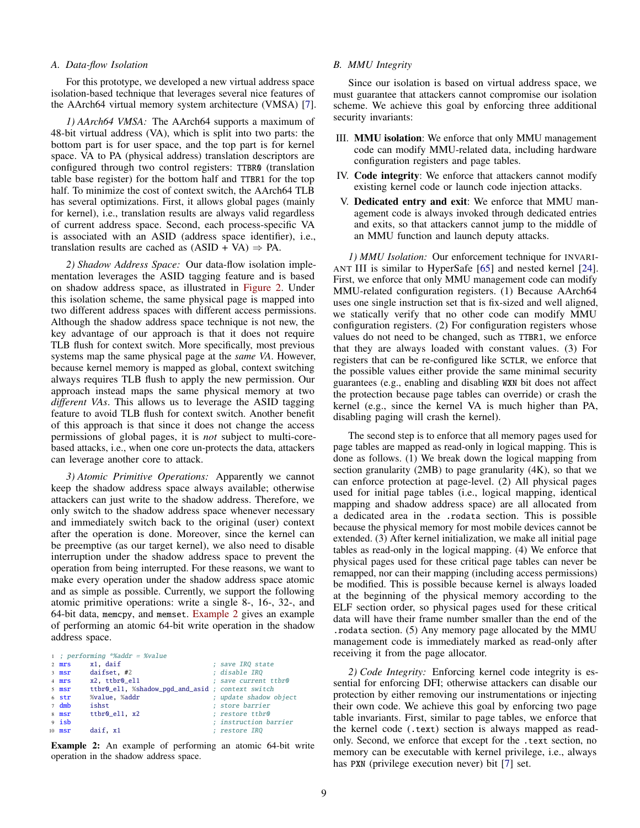#### <span id="page-8-0"></span>*A. Data-flow Isolation*

For this prototype, we developed a new virtual address space isolation-based technique that leverages several nice features of the AArch64 virtual memory system architecture (VMSA) [\[7\]](#page-13-13).

*1) AArch64 VMSA:* The AArch64 supports a maximum of 48-bit virtual address (VA), which is split into two parts: the bottom part is for user space, and the top part is for kernel space. VA to PA (physical address) translation descriptors are configured through two control registers: TTBR0 (translation table base register) for the bottom half and TTBR1 for the top half. To minimize the cost of context switch, the AArch64 TLB has several optimizations. First, it allows global pages (mainly for kernel), i.e., translation results are always valid regardless of current address space. Second, each process-specific VA is associated with an ASID (address space identifier), i.e., translation results are cached as  $(ASID + VA) \Rightarrow PA$ .

*2) Shadow Address Space:* Our data-flow isolation implementation leverages the ASID tagging feature and is based on shadow address space, as illustrated in [Figure 2.](#page-7-4) Under this isolation scheme, the same physical page is mapped into two different address spaces with different access permissions. Although the shadow address space technique is not new, the key advantage of our approach is that it does not require TLB flush for context switch. More specifically, most previous systems map the same physical page at the *same VA*. However, because kernel memory is mapped as global, context switching always requires TLB flush to apply the new permission. Our approach instead maps the same physical memory at two *different VAs*. This allows us to leverage the ASID tagging feature to avoid TLB flush for context switch. Another benefit of this approach is that since it does not change the access permissions of global pages, it is *not* subject to multi-corebased attacks, i.e., when one core un-protects the data, attackers can leverage another core to attack.

*3) Atomic Primitive Operations:* Apparently we cannot keep the shadow address space always available; otherwise attackers can just write to the shadow address. Therefore, we only switch to the shadow address space whenever necessary and immediately switch back to the original (user) context after the operation is done. Moreover, since the kernel can be preemptive (as our target kernel), we also need to disable interruption under the shadow address space to prevent the operation from being interrupted. For these reasons, we want to make every operation under the shadow address space atomic and as simple as possible. Currently, we support the following atomic primitive operations: write a single 8-, 16-, 32-, and 64-bit data, memcpy, and memset. [Example 2](#page-8-2) gives an example of performing an atomic 64-bit write operation in the shadow address space.

<span id="page-8-2"></span>1 ; performing \*%addr = %value

| $2$ mrs        | x1. daif                                         | ; save IRQ state       |
|----------------|--------------------------------------------------|------------------------|
| $3$ msr        | daifset, #2                                      | : disable IRO          |
| 4 mrs          | x2. ttbr0 el1                                    | : save current ttbr0   |
| 5 msr          | ttbr0_el1, %shadow_pqd_and_asid ; context switch |                        |
| 6 str          | %value, %addr                                    | ; update shadow object |
| $7 \text{ dm}$ | ishst                                            | ; store barrier        |
| 8 msr          | ttbr0_el1, x2                                    | : restore ttbr0        |
| $9$ isb        |                                                  | : instruction barrier  |
| $10$ msr       | daif. x1                                         | ; restore IRQ          |

Example 2: An example of performing an atomic 64-bit write operation in the shadow address space.

# <span id="page-8-1"></span>*B. MMU Integrity*

Since our isolation is based on virtual address space, we must guarantee that attackers cannot compromise our isolation scheme. We achieve this goal by enforcing three additional security invariants:

- III. MMU isolation: We enforce that only MMU management code can modify MMU-related data, including hardware configuration registers and page tables.
- IV. Code integrity: We enforce that attackers cannot modify existing kernel code or launch code injection attacks.
- V. Dedicated entry and exit: We enforce that MMU management code is always invoked through dedicated entries and exits, so that attackers cannot jump to the middle of an MMU function and launch deputy attacks.

*1) MMU Isolation:* Our enforcement technique for INVARI-ANT III is similar to HyperSafe [\[65\]](#page-14-12) and nested kernel [\[24\]](#page-14-24). First, we enforce that only MMU management code can modify MMU-related configuration registers. (1) Because AArch64 uses one single instruction set that is fix-sized and well aligned, we statically verify that no other code can modify MMU configuration registers. (2) For configuration registers whose values do not need to be changed, such as TTBR1, we enforce that they are always loaded with constant values. (3) For registers that can be re-configured like SCTLR, we enforce that the possible values either provide the same minimal security guarantees (e.g., enabling and disabling WXN bit does not affect the protection because page tables can override) or crash the kernel (e.g., since the kernel VA is much higher than PA, disabling paging will crash the kernel).

The second step is to enforce that all memory pages used for page tables are mapped as read-only in logical mapping. This is done as follows. (1) We break down the logical mapping from section granularity (2MB) to page granularity (4K), so that we can enforce protection at page-level. (2) All physical pages used for initial page tables (i.e., logical mapping, identical mapping and shadow address space) are all allocated from a dedicated area in the .rodata section. This is possible because the physical memory for most mobile devices cannot be extended. (3) After kernel initialization, we make all initial page tables as read-only in the logical mapping. (4) We enforce that physical pages used for these critical page tables can never be remapped, nor can their mapping (including access permissions) be modified. This is possible because kernel is always loaded at the beginning of the physical memory according to the ELF section order, so physical pages used for these critical data will have their frame number smaller than the end of the .rodata section. (5) Any memory page allocated by the MMU management code is immediately marked as read-only after receiving it from the page allocator.

*2) Code Integrity:* Enforcing kernel code integrity is essential for enforcing DFI; otherwise attackers can disable our protection by either removing our instrumentations or injecting their own code. We achieve this goal by enforcing two page table invariants. First, similar to page tables, we enforce that the kernel code (.text) section is always mapped as readonly. Second, we enforce that except for the .text section, no memory can be executable with kernel privilege, i.e., always has PXN (privilege execution never) bit [\[7\]](#page-13-13) set.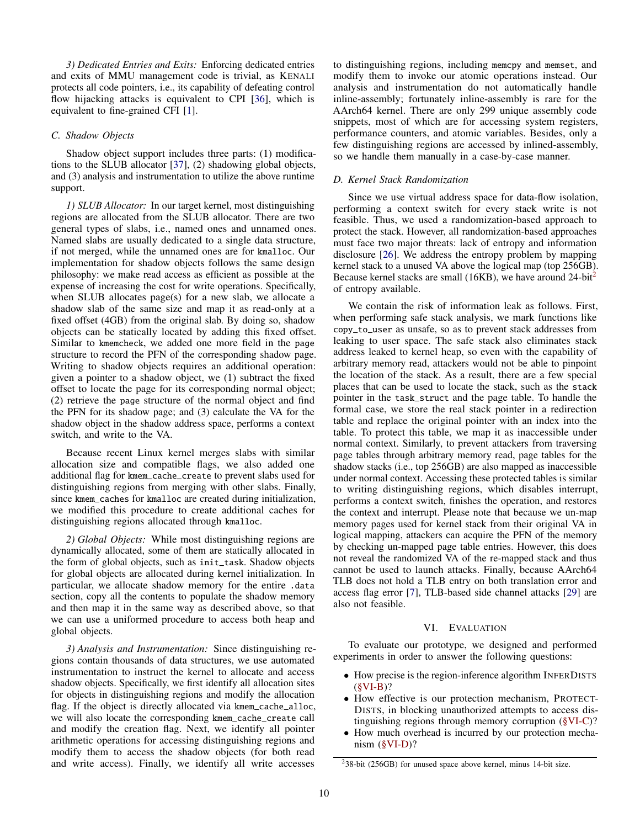*3) Dedicated Entries and Exits:* Enforcing dedicated entries and exits of MMU management code is trivial, as KENALI protects all code pointers, i.e., its capability of defeating control flow hijacking attacks is equivalent to CPI [\[36\]](#page-14-31), which is equivalent to fine-grained CFI [\[1\]](#page-13-14).

# <span id="page-9-0"></span>*C. Shadow Objects*

Shadow object support includes three parts: (1) modifications to the SLUB allocator [\[37\]](#page-14-39), (2) shadowing global objects, and (3) analysis and instrumentation to utilize the above runtime support.

*1) SLUB Allocator:* In our target kernel, most distinguishing regions are allocated from the SLUB allocator. There are two general types of slabs, i.e., named ones and unnamed ones. Named slabs are usually dedicated to a single data structure, if not merged, while the unnamed ones are for kmalloc. Our implementation for shadow objects follows the same design philosophy: we make read access as efficient as possible at the expense of increasing the cost for write operations. Specifically, when SLUB allocates page(s) for a new slab, we allocate a shadow slab of the same size and map it as read-only at a fixed offset (4GB) from the original slab. By doing so, shadow objects can be statically located by adding this fixed offset. Similar to kmemcheck, we added one more field in the page structure to record the PFN of the corresponding shadow page. Writing to shadow objects requires an additional operation: given a pointer to a shadow object, we (1) subtract the fixed offset to locate the page for its corresponding normal object; (2) retrieve the page structure of the normal object and find the PFN for its shadow page; and (3) calculate the VA for the shadow object in the shadow address space, performs a context switch, and write to the VA.

Because recent Linux kernel merges slabs with similar allocation size and compatible flags, we also added one additional flag for kmem\_cache\_create to prevent slabs used for distinguishing regions from merging with other slabs. Finally, since kmem\_caches for kmalloc are created during initialization, we modified this procedure to create additional caches for distinguishing regions allocated through kmalloc.

*2) Global Objects:* While most distinguishing regions are dynamically allocated, some of them are statically allocated in the form of global objects, such as init\_task. Shadow objects for global objects are allocated during kernel initialization. In particular, we allocate shadow memory for the entire .data section, copy all the contents to populate the shadow memory and then map it in the same way as described above, so that we can use a uniformed procedure to access both heap and global objects.

*3) Analysis and Instrumentation:* Since distinguishing regions contain thousands of data structures, we use automated instrumentation to instruct the kernel to allocate and access shadow objects. Specifically, we first identify all allocation sites for objects in distinguishing regions and modify the allocation flag. If the object is directly allocated via kmem\_cache\_alloc, we will also locate the corresponding kmem\_cache\_create call and modify the creation flag. Next, we identify all pointer arithmetic operations for accessing distinguishing regions and modify them to access the shadow objects (for both read and write access). Finally, we identify all write accesses

to distinguishing regions, including memcpy and memset, and modify them to invoke our atomic operations instead. Our analysis and instrumentation do not automatically handle inline-assembly; fortunately inline-assembly is rare for the AArch64 kernel. There are only 299 unique assembly code snippets, most of which are for accessing system registers, performance counters, and atomic variables. Besides, only a few distinguishing regions are accessed by inlined-assembly, so we handle them manually in a case-by-case manner.

# <span id="page-9-1"></span>*D. Kernel Stack Randomization*

Since we use virtual address space for data-flow isolation, performing a context switch for every stack write is not feasible. Thus, we used a randomization-based approach to protect the stack. However, all randomization-based approaches must face two major threats: lack of entropy and information disclosure [\[26\]](#page-14-40). We address the entropy problem by mapping kernel stack to a unused VA above the logical map (top 256GB). Because kernel stacks are small (16KB), we have around [2](#page-9-2)4-bit<sup>2</sup> of entropy available.

We contain the risk of information leak as follows. First, when performing safe stack analysis, we mark functions like copy\_to\_user as unsafe, so as to prevent stack addresses from leaking to user space. The safe stack also eliminates stack address leaked to kernel heap, so even with the capability of arbitrary memory read, attackers would not be able to pinpoint the location of the stack. As a result, there are a few special places that can be used to locate the stack, such as the stack pointer in the task\_struct and the page table. To handle the formal case, we store the real stack pointer in a redirection table and replace the original pointer with an index into the table. To protect this table, we map it as inaccessible under normal context. Similarly, to prevent attackers from traversing page tables through arbitrary memory read, page tables for the shadow stacks (i.e., top 256GB) are also mapped as inaccessible under normal context. Accessing these protected tables is similar to writing distinguishing regions, which disables interrupt, performs a context switch, finishes the operation, and restores the context and interrupt. Please note that because we un-map memory pages used for kernel stack from their original VA in logical mapping, attackers can acquire the PFN of the memory by checking un-mapped page table entries. However, this does not reveal the randomized VA of the re-mapped stack and thus cannot be used to launch attacks. Finally, because AArch64 TLB does not hold a TLB entry on both translation error and access flag error [\[7\]](#page-13-13), TLB-based side channel attacks [\[29\]](#page-14-41) are also not feasible.

# VI. EVALUATION

To evaluate our prototype, we designed and performed experiments in order to answer the following questions:

- How precise is the region-inference algorithm INFERDISTS  $(**§VI-B**)$ ?
- How effective is our protection mechanism, PROTECT-DISTS, in blocking unauthorized attempts to access distinguishing regions through memory corruption [\(§VI-C\)](#page-10-0)?
- How much overhead is incurred by our protection mechanism [\(§VI-D\)](#page-11-0)?

<span id="page-9-2"></span><sup>2</sup>38-bit (256GB) for unused space above kernel, minus 14-bit size.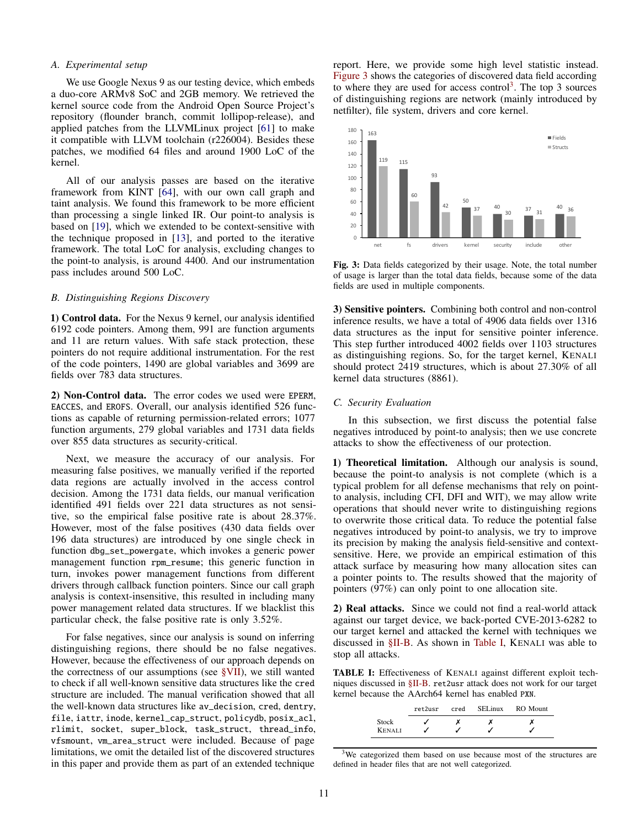## *A. Experimental setup*

We use Google Nexus 9 as our testing device, which embeds a duo-core ARMv8 SoC and 2GB memory. We retrieved the kernel source code from the Android Open Source Project's repository (flounder branch, commit lollipop-release), and applied patches from the LLVMLinux project [\[61\]](#page-14-42) to make it compatible with LLVM toolchain (r226004). Besides these patches, we modified 64 files and around 1900 LoC of the kernel.

All of our analysis passes are based on the iterative framework from KINT [\[64\]](#page-14-43), with our own call graph and taint analysis. We found this framework to be more efficient than processing a single linked IR. Our point-to analysis is based on [\[19\]](#page-14-44), which we extended to be context-sensitive with the technique proposed in [\[13\]](#page-13-11), and ported to the iterative framework. The total LoC for analysis, excluding changes to the point-to analysis, is around 4400. And our instrumentation pass includes around 500 LoC.

# <span id="page-10-1"></span>*B. Distinguishing Regions Discovery*

1) Control data. For the Nexus 9 kernel, our analysis identified 6192 code pointers. Among them, 991 are function arguments and 11 are return values. With safe stack protection, these pointers do not require additional instrumentation. For the rest of the code pointers, 1490 are global variables and 3699 are fields over 783 data structures.

2) Non-Control data. The error codes we used were EPERM, EACCES, and EROFS. Overall, our analysis identified 526 functions as capable of returning permission-related errors; 1077 function arguments, 279 global variables and 1731 data fields over 855 data structures as security-critical.

Next, we measure the accuracy of our analysis. For measuring false positives, we manually verified if the reported data regions are actually involved in the access control decision. Among the 1731 data fields, our manual verification identified 491 fields over 221 data structures as not sensitive, so the empirical false positive rate is about 28.37%. However, most of the false positives (430 data fields over 196 data structures) are introduced by one single check in function dbg\_set\_powergate, which invokes a generic power management function rpm\_resume; this generic function in turn, invokes power management functions from different drivers through callback function pointers. Since our call graph analysis is context-insensitive, this resulted in including many power management related data structures. If we blacklist this particular check, the false positive rate is only 3.52%.

For false negatives, since our analysis is sound on inferring distinguishing regions, there should be no false negatives. However, because the effectiveness of our approach depends on the correctness of our assumptions (see [§VII\)](#page-12-0), we still wanted to check if all well-known sensitive data structures like the cred structure are included. The manual verification showed that all the well-known data structures like av\_decision, cred, dentry, file, iattr, inode, kernel\_cap\_struct, policydb, posix\_acl, rlimit, socket, super\_block, task\_struct, thread\_info, vfsmount, vm\_area\_struct were included. Because of page limitations, we omit the detailed list of the discovered structures in this paper and provide them as part of an extended technique

report. Here, we provide some high level statistic instead. [Figure 3](#page-10-2) shows the categories of discovered data field according to where they are used for access control<sup>[3](#page-10-3)</sup>. The top 3 sources of distinguishing regions are network (mainly introduced by netfilter), file system, drivers and core kernel.

<span id="page-10-2"></span>

Fig. 3: Data fields categorized by their usage. Note, the total number of usage is larger than the total data fields, because some of the data fields are used in multiple components.

3) Sensitive pointers. Combining both control and non-control inference results, we have a total of 4906 data fields over 1316 data structures as the input for sensitive pointer inference. This step further introduced 4002 fields over 1103 structures as distinguishing regions. So, for the target kernel, KENALI should protect 2419 structures, which is about 27.30% of all kernel data structures (8861).

# <span id="page-10-0"></span>*C. Security Evaluation*

In this subsection, we first discuss the potential false negatives introduced by point-to analysis; then we use concrete attacks to show the effectiveness of our protection.

1) Theoretical limitation. Although our analysis is sound, because the point-to analysis is not complete (which is a typical problem for all defense mechanisms that rely on pointto analysis, including CFI, DFI and WIT), we may allow write operations that should never write to distinguishing regions to overwrite those critical data. To reduce the potential false negatives introduced by point-to analysis, we try to improve its precision by making the analysis field-sensitive and contextsensitive. Here, we provide an empirical estimation of this attack surface by measuring how many allocation sites can a pointer points to. The results showed that the majority of pointers (97%) can only point to one allocation site.

2) Real attacks. Since we could not find a real-world attack against our target device, we back-ported CVE-2013-6282 to our target kernel and attacked the kernel with techniques we discussed in [§II-B.](#page-2-0) As shown in [Table I,](#page-10-4) KENALI was able to stop all attacks.

<span id="page-10-4"></span>TABLE I: Effectiveness of KENALI against different exploit techniques discussed in [§II-B.](#page-2-0) ret2usr attack does not work for our target kernel because the AArch64 kernel has enabled PXN.

|               | ret2usr | cred | <b>SEL</b> inux | RO Mount |
|---------------|---------|------|-----------------|----------|
| Stock         |         |      |                 |          |
| <b>KENALI</b> |         |      |                 |          |

<span id="page-10-3"></span><sup>&</sup>lt;sup>3</sup>We categorized them based on use because most of the structures are defined in header files that are not well categorized.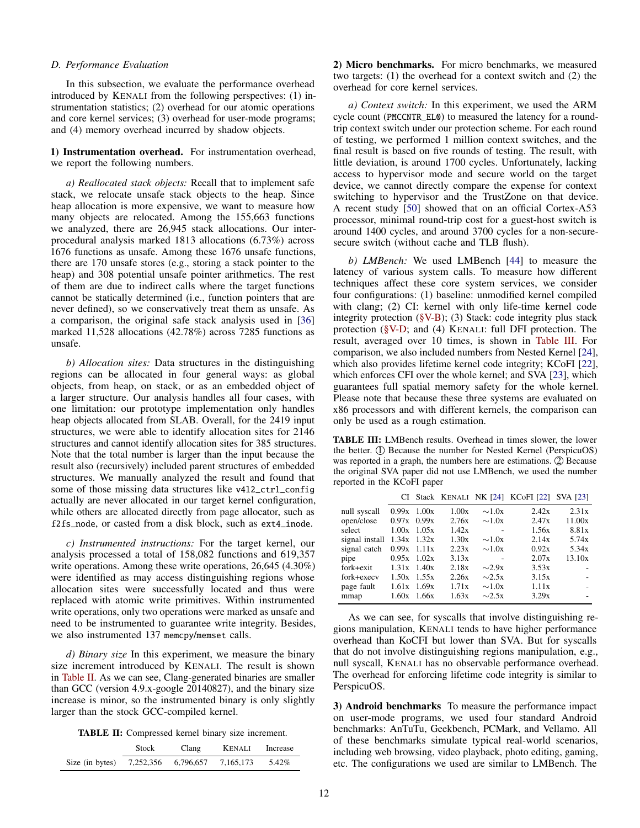#### <span id="page-11-0"></span>*D. Performance Evaluation*

In this subsection, we evaluate the performance overhead introduced by KENALI from the following perspectives: (1) instrumentation statistics; (2) overhead for our atomic operations and core kernel services; (3) overhead for user-mode programs; and (4) memory overhead incurred by shadow objects.

1) Instrumentation overhead. For instrumentation overhead, we report the following numbers.

*a) Reallocated stack objects:* Recall that to implement safe stack, we relocate unsafe stack objects to the heap. Since heap allocation is more expensive, we want to measure how many objects are relocated. Among the 155,663 functions we analyzed, there are 26,945 stack allocations. Our interprocedural analysis marked 1813 allocations (6.73%) across 1676 functions as unsafe. Among these 1676 unsafe functions, there are 170 unsafe stores (e.g., storing a stack pointer to the heap) and 308 potential unsafe pointer arithmetics. The rest of them are due to indirect calls where the target functions cannot be statically determined (i.e., function pointers that are never defined), so we conservatively treat them as unsafe. As a comparison, the original safe stack analysis used in [\[36\]](#page-14-31) marked 11,528 allocations (42.78%) across 7285 functions as unsafe.

*b) Allocation sites:* Data structures in the distinguishing regions can be allocated in four general ways: as global objects, from heap, on stack, or as an embedded object of a larger structure. Our analysis handles all four cases, with one limitation: our prototype implementation only handles heap objects allocated from SLAB. Overall, for the 2419 input structures, we were able to identify allocation sites for 2146 structures and cannot identify allocation sites for 385 structures. Note that the total number is larger than the input because the result also (recursively) included parent structures of embedded structures. We manually analyzed the result and found that some of those missing data structures like v4l2\_ctrl\_config actually are never allocated in our target kernel configuration, while others are allocated directly from page allocator, such as f2fs\_node, or casted from a disk block, such as ext4\_inode.

*c) Instrumented instructions:* For the target kernel, our analysis processed a total of 158,082 functions and 619,357 write operations. Among these write operations, 26,645 (4.30%) were identified as may access distinguishing regions whose allocation sites were successfully located and thus were replaced with atomic write primitives. Within instrumented write operations, only two operations were marked as unsafe and need to be instrumented to guarantee write integrity. Besides, we also instrumented 137 memcpy/memset calls.

*d) Binary size* In this experiment, we measure the binary size increment introduced by KENALI. The result is shown in [Table II.](#page-11-1) As we can see, Clang-generated binaries are smaller than GCC (version 4.9.x-google 20140827), and the binary size increase is minor, so the instrumented binary is only slightly larger than the stock GCC-compiled kernel.

TABLE II: Compressed kernel binary size increment.

<span id="page-11-1"></span>

|                 | Stock<br>Clang |                     | <b>KENALI</b> | Increase |
|-----------------|----------------|---------------------|---------------|----------|
| Size (in bytes) |                | 7,252,356 6,796,657 | 7.165.173     | 5.42%    |

2) Micro benchmarks. For micro benchmarks, we measured two targets: (1) the overhead for a context switch and (2) the overhead for core kernel services.

*a) Context switch:* In this experiment, we used the ARM cycle count (PMCCNTR\_EL0) to measured the latency for a roundtrip context switch under our protection scheme. For each round of testing, we performed 1 million context switches, and the final result is based on five rounds of testing. The result, with little deviation, is around 1700 cycles. Unfortunately, lacking access to hypervisor mode and secure world on the target device, we cannot directly compare the expense for context switching to hypervisor and the TrustZone on that device. A recent study [\[50\]](#page-14-45) showed that on an official Cortex-A53 processor, minimal round-trip cost for a guest-host switch is around 1400 cycles, and around 3700 cycles for a non-securesecure switch (without cache and TLB flush).

*b) LMBench:* We used LMBench [\[44\]](#page-14-46) to measure the latency of various system calls. To measure how different techniques affect these core system services, we consider four configurations: (1) baseline: unmodified kernel compiled with clang; (2) CI: kernel with only life-time kernel code integrity protection  $(\S{V-B})$ ; (3) Stack: code integrity plus stack protection [\(§V-D;](#page-9-1) and (4) KENALI: full DFI protection. The result, averaged over 10 times, is shown in [Table III.](#page-11-2) For comparison, we also included numbers from Nested Kernel [\[24\]](#page-14-24), which also provides lifetime kernel code integrity; KCoFI [\[22\]](#page-14-11), which enforces CFI over the whole kernel; and SVA [\[23\]](#page-14-19), which guarantees full spatial memory safety for the whole kernel. Please note that because these three systems are evaluated on x86 processors and with different kernels, the comparison can only be used as a rough estimation.

<span id="page-11-2"></span>TABLE III: LMBench results. Overhead in times slower, the lower the better.  $(1)$  Because the number for Nested Kernel (PerspicuOS) was reported in a graph, the numbers here are estimations. 2 Because the original SVA paper did not use LMBench, we used the number reported in the KCoFI paper

|                |       |                 |       |             | CI Stack KENALI NK [24] KCoFI [22] SVA [23] |        |
|----------------|-------|-----------------|-------|-------------|---------------------------------------------|--------|
| null syscall   |       | $0.99x$ 1.00x   | 1.00x | $\sim 1.0x$ | 2.42x                                       | 2.31x  |
| open/close     |       | $0.97x$ 0.99x   | 2.76x | $\sim 1.0x$ | 2.47x                                       | 11.00x |
| select         |       | $1.00x$ $1.05x$ | 1.42x |             | 1.56x                                       | 8.81x  |
| signal install |       | $1.34x$ $1.32x$ | 1.30x | $\sim 1.0x$ | 2.14x                                       | 5.74x  |
| signal catch   |       | $0.99x$ 1.11x   | 2.23x | $\sim 1.0x$ | 0.92x                                       | 5.34x  |
| pipe           |       | $0.95x$ 1.02x   | 3.13x |             | 2.07x                                       | 13.10x |
| fork+exit      |       | $1.31x$ 1.40x   | 2.18x | $\sim$ 2.9x | 3.53x                                       |        |
| fork+execv     |       | $1.50x$ $1.55x$ | 2.26x | $\sim$ 2.5x | 3.15x                                       |        |
| page fault     |       | $1.61x$ 1.69x   | 1.71x | $\sim 1.0x$ | 1.11x                                       |        |
| mmap           | 1.60x | 1.66x           | 1.63x | $\sim$ 2.5x | 3.29x                                       |        |

As we can see, for syscalls that involve distinguishing regions manipulation, KENALI tends to have higher performance overhead than KoCFI but lower than SVA. But for syscalls that do not involve distinguishing regions manipulation, e.g., null syscall, KENALI has no observable performance overhead. The overhead for enforcing lifetime code integrity is similar to PerspicuOS.

3) Android benchmarks To measure the performance impact on user-mode programs, we used four standard Android benchmarks: AnTuTu, Geekbench, PCMark, and Vellamo. All of these benchmarks simulate typical real-world scenarios, including web browsing, video playback, photo editing, gaming, etc. The configurations we used are similar to LMBench. The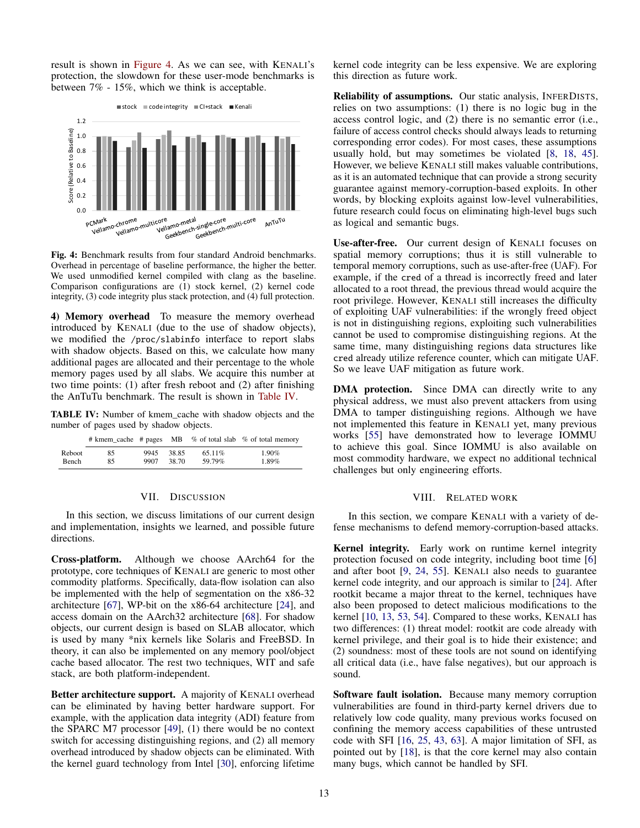result is shown in [Figure 4.](#page-12-1) As we can see, with KENALI's protection, the slowdown for these user-mode benchmarks is between 7% - 15%, which we think is acceptable.

<span id="page-12-1"></span>

Fig. 4: Benchmark results from four standard Android benchmarks. Overhead in percentage of baseline performance, the higher the better. We used unmodified kernel compiled with clang as the baseline. Comparison configurations are (1) stock kernel, (2) kernel code integrity, (3) code integrity plus stack protection, and (4) full protection.

4) Memory overhead To measure the memory overhead introduced by KENALI (due to the use of shadow objects), we modified the /proc/slabinfo interface to report slabs with shadow objects. Based on this, we calculate how many additional pages are allocated and their percentage to the whole memory pages used by all slabs. We acquire this number at two time points: (1) after fresh reboot and (2) after finishing the AnTuTu benchmark. The result is shown in [Table IV.](#page-12-2)

<span id="page-12-2"></span>TABLE IV: Number of kmem\_cache with shadow objects and the number of pages used by shadow objects.

|              |    |      |       |        | # kmem cache # pages MB $%$ of total slab $%$ of total memory |
|--------------|----|------|-------|--------|---------------------------------------------------------------|
| Reboot       | 85 | 9945 | 38.85 | 65.11% | $1.90\%$                                                      |
| <b>Bench</b> | 85 | 9907 | 38.70 | 59.79% | 1.89%                                                         |

# VII. DISCUSSION

<span id="page-12-0"></span>In this section, we discuss limitations of our current design and implementation, insights we learned, and possible future directions.

Cross-platform. Although we choose AArch64 for the prototype, core techniques of KENALI are generic to most other commodity platforms. Specifically, data-flow isolation can also be implemented with the help of segmentation on the x86-32 architecture [\[67\]](#page-14-23), WP-bit on the x86-64 architecture [\[24\]](#page-14-24), and access domain on the AArch32 architecture [\[68\]](#page-14-25). For shadow objects, our current design is based on SLAB allocator, which is used by many \*nix kernels like Solaris and FreeBSD. In theory, it can also be implemented on any memory pool/object cache based allocator. The rest two techniques, WIT and safe stack, are both platform-independent.

Better architecture support. A majority of KENALI overhead can be eliminated by having better hardware support. For example, with the application data integrity (ADI) feature from the SPARC M7 processor [\[49\]](#page-14-47), (1) there would be no context switch for accessing distinguishing regions, and (2) all memory overhead introduced by shadow objects can be eliminated. With the kernel guard technology from Intel [\[30\]](#page-14-48), enforcing lifetime kernel code integrity can be less expensive. We are exploring this direction as future work.

Reliability of assumptions. Our static analysis, INFERDISTS, relies on two assumptions: (1) there is no logic bug in the access control logic, and (2) there is no semantic error (i.e., failure of access control checks should always leads to returning corresponding error codes). For most cases, these assumptions usually hold, but may sometimes be violated [\[8,](#page-13-15) [18,](#page-14-18) [45\]](#page-14-49). However, we believe KENALI still makes valuable contributions, as it is an automated technique that can provide a strong security guarantee against memory-corruption-based exploits. In other words, by blocking exploits against low-level vulnerabilities, future research could focus on eliminating high-level bugs such as logical and semantic bugs.

Use-after-free. Our current design of KENALI focuses on spatial memory corruptions; thus it is still vulnerable to temporal memory corruptions, such as use-after-free (UAF). For example, if the cred of a thread is incorrectly freed and later allocated to a root thread, the previous thread would acquire the root privilege. However, KENALI still increases the difficulty of exploiting UAF vulnerabilities: if the wrongly freed object is not in distinguishing regions, exploiting such vulnerabilities cannot be used to compromise distinguishing regions. At the same time, many distinguishing regions data structures like cred already utilize reference counter, which can mitigate UAF. So we leave UAF mitigation as future work.

DMA protection. Since DMA can directly write to any physical address, we must also prevent attackers from using DMA to tamper distinguishing regions. Although we have not implemented this feature in KENALI yet, many previous works [\[55\]](#page-14-7) have demonstrated how to leverage IOMMU to achieve this goal. Since IOMMU is also available on most commodity hardware, we expect no additional technical challenges but only engineering efforts.

### VIII. RELATED WORK

In this section, we compare KENALI with a variety of defense mechanisms to defend memory-corruption-based attacks.

Kernel integrity. Early work on runtime kernel integrity protection focused on code integrity, including boot time [\[6\]](#page-13-7) and after boot [\[9,](#page-13-10) [24,](#page-14-24) [55\]](#page-14-7). KENALI also needs to guarantee kernel code integrity, and our approach is similar to [\[24\]](#page-14-24). After rootkit became a major threat to the kernel, techniques have also been proposed to detect malicious modifications to the kernel [\[10,](#page-13-5) [13,](#page-13-11) [53,](#page-14-20) [54\]](#page-14-21). Compared to these works, KENALI has two differences: (1) threat model: rootkit are code already with kernel privilege, and their goal is to hide their existence; and (2) soundness: most of these tools are not sound on identifying all critical data (i.e., have false negatives), but our approach is sound.

Software fault isolation. Because many memory corruption vulnerabilities are found in third-party kernel drivers due to relatively low code quality, many previous works focused on confining the memory access capabilities of these untrusted code with SFI [\[16,](#page-13-2) [25,](#page-14-15) [43,](#page-14-16) [63\]](#page-14-17). A major limitation of SFI, as pointed out by [\[18\]](#page-14-18), is that the core kernel may also contain many bugs, which cannot be handled by SFI.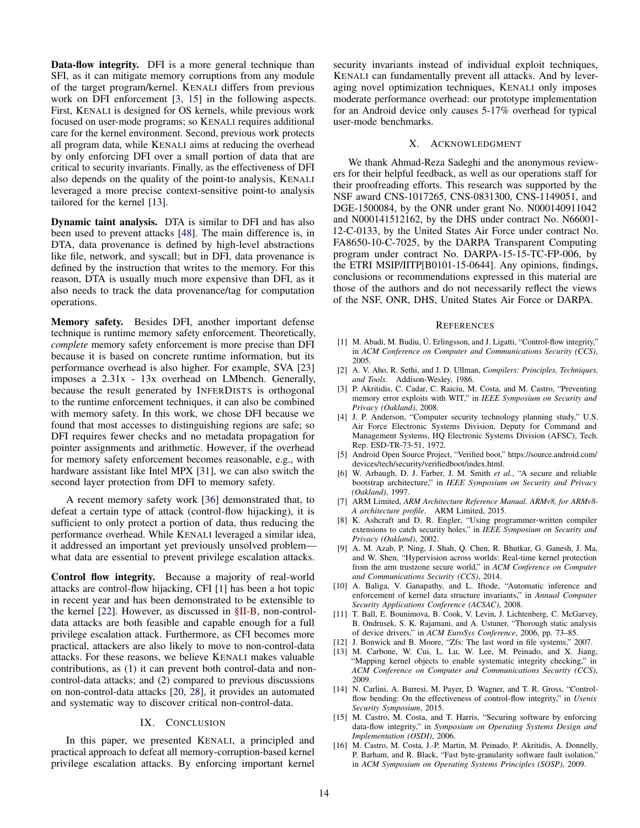Data-flow integrity. DFI is a more general technique than SFI, as it can mitigate memory corruptions from any module of the target program/kernel. KENALI differs from previous work on DFI enforcement [\[3,](#page-13-6) [15\]](#page-13-3) in the following aspects. First, KENALI is designed for OS kernels, while previous work focused on user-mode programs; so KENALI requires additional care for the kernel environment. Second, previous work protects all program data, while KENALI aims at reducing the overhead by only enforcing DFI over a small portion of data that are critical to security invariants. Finally, as the effectiveness of DFI also depends on the quality of the point-to analysis, KENALI leveraged a more precise context-sensitive point-to analysis tailored for the kernel [\[13\]](#page-13-11).

Dynamic taint analysis. DTA is similar to DFI and has also been used to prevent attacks [\[48\]](#page-14-50). The main difference is, in DTA, data provenance is defined by high-level abstractions like file, network, and syscall; but in DFI, data provenance is defined by the instruction that writes to the memory. For this reason, DTA is usually much more expensive than DFI, as it also needs to track the data provenance/tag for computation operations.

Memory safety. Besides DFI, another important defense technique is runtime memory safety enforcement. Theoretically, *complete* memory safety enforcement is more precise than DFI because it is based on concrete runtime information, but its performance overhead is also higher. For example, SVA [\[23\]](#page-14-19) imposes a 2.31x - 13x overhead on LMbench. Generally, because the result generated by INFERDISTS is orthogonal to the runtime enforcement techniques, it can also be combined with memory safety. In this work, we chose DFI because we found that most accesses to distinguishing regions are safe; so DFI requires fewer checks and no metadata propagation for pointer assignments and arithmetic. However, if the overhead for memory safety enforcement becomes reasonable, e.g., with hardware assistant like Intel MPX [\[31\]](#page-14-51), we can also switch the second layer protection from DFI to memory safety.

A recent memory safety work [\[36\]](#page-14-31) demonstrated that, to defeat a certain type of attack (control-flow hijacking), it is sufficient to only protect a portion of data, thus reducing the performance overhead. While KENALI leveraged a similar idea, it addressed an important yet previously unsolved problem what data are essential to prevent privilege escalation attacks.

Control flow integrity. Because a majority of real-world attacks are control-flow hijacking, CFI [\[1\]](#page-13-14) has been a hot topic in recent year and has been demonstrated to be extensible to the kernel [\[22\]](#page-14-11). However, as discussed in [§II-B,](#page-2-0) non-controldata attacks are both feasible and capable enough for a full privilege escalation attack. Furthermore, as CFI becomes more practical, attackers are also likely to move to non-control-data attacks. For these reasons, we believe KENALI makes valuable contributions, as (1) it can prevent both control-data and noncontrol-data attacks; and (2) compared to previous discussions on non-control-data attacks [\[20,](#page-14-14) [28\]](#page-14-22), it provides an automated and systematic way to discover critical non-control-data.

# IX. CONCLUSION

In this paper, we presented KENALI, a principled and practical approach to defeat all memory-corruption-based kernel privilege escalation attacks. By enforcing important kernel security invariants instead of individual exploit techniques, KENALI can fundamentally prevent all attacks. And by leveraging novel optimization techniques, KENALI only imposes moderate performance overhead: our prototype implementation for an Android device only causes 5-17% overhead for typical user-mode benchmarks.

# X. ACKNOWLEDGMENT

We thank Ahmad-Reza Sadeghi and the anonymous reviewers for their helpful feedback, as well as our operations staff for their proofreading efforts. This research was supported by the NSF award CNS-1017265, CNS-0831300, CNS-1149051, and DGE-1500084, by the ONR under grant No. N000140911042 and N000141512162, by the DHS under contract No. N66001- 12-C-0133, by the United States Air Force under contract No. FA8650-10-C-7025, by the DARPA Transparent Computing program under contract No. DARPA-15-15-TC-FP-006, by the ETRI MSIP/IITP[B0101-15-0644]. Any opinions, findings, conclusions or recommendations expressed in this material are those of the authors and do not necessarily reflect the views of the NSF, ONR, DHS, United States Air Force or DARPA.

#### **REFERENCES**

- <span id="page-13-14"></span>[1] M. Abadi, M. Budiu, Ú. Erlingsson, and J. Ligatti, "Control-flow integrity," in *ACM Conference on Computer and Communications Security (CCS)*, 2005.
- <span id="page-13-12"></span>[2] A. V. Aho, R. Sethi, and J. D. Ullman, *Compilers: Principles, Techniques, and Tools*. Addison-Wesley, 1986.
- <span id="page-13-6"></span>[3] P. Akritidis, C. Cadar, C. Raiciu, M. Costa, and M. Castro, "Preventing memory error exploits with WIT," in *IEEE Symposium on Security and Privacy (Oakland)*, 2008.
- <span id="page-13-4"></span>[4] J. P. Anderson, "Computer security technology planning study," U.S. Air Force Electronic Systems Division, Deputy for Command and Management Systems, HQ Electronic Systems Division (AFSC), Tech. Rep. ESD-TR-73-51, 1972.
- <span id="page-13-9"></span>[5] Android Open Source Project, "Verified boot," [https://source.android.com/](https://source.android.com/devices/tech/security/verifiedboot/index.html) [devices/tech/security/verifiedboot/index.html.](https://source.android.com/devices/tech/security/verifiedboot/index.html)
- <span id="page-13-7"></span>[6] W. Arbaugh, D. J. Farber, J. M. Smith *et al.*, "A secure and reliable bootstrap architecture," in *IEEE Symposium on Security and Privacy (Oakland)*, 1997.
- <span id="page-13-13"></span>[7] ARM Limited, *ARM Architecture Reference Manual. ARMv8, for ARMv8- A architecture profile*. ARM Limited, 2015.
- <span id="page-13-15"></span>[8] K. Ashcraft and D. R. Engler, "Using programmer-written compiler extensions to catch security holes," in *IEEE Symposium on Security and Privacy (Oakland)*, 2002.
- <span id="page-13-10"></span>[9] A. M. Azab, P. Ning, J. Shah, Q. Chen, R. Bhutkar, G. Ganesh, J. Ma, and W. Shen, "Hypervision across worlds: Real-time kernel protection from the arm trustzone secure world," in *ACM Conference on Computer and Communications Security (CCS)*, 2014.
- <span id="page-13-5"></span>[10] A. Baliga, V. Ganapathy, and L. Iftode, "Automatic inference and enforcement of kernel data structure invariants," in *Annual Computer Security Applications Conference (ACSAC)*, 2008.
- <span id="page-13-0"></span>[11] T. Ball, E. Bounimova, B. Cook, V. Levin, J. Lichtenberg, C. McGarvey, B. Ondrusek, S. K. Rajamani, and A. Ustuner, "Thorough static analysis of device drivers," in *ACM EuroSys Conference*, 2006, pp. 73–85.
- <span id="page-13-8"></span>[12] J. Bonwick and B. Moore, "Zfs: The last word in file systems," 2007.
- <span id="page-13-11"></span>[13] M. Carbone, W. Cui, L. Lu, W. Lee, M. Peinado, and X. Jiang, "Mapping kernel objects to enable systematic integrity checking," in *ACM Conference on Computer and Communications Security (CCS)*, 2009.
- <span id="page-13-1"></span>[14] N. Carlini, A. Barresi, M. Payer, D. Wagner, and T. R. Gross, "Controlflow bending: On the effectiveness of control-flow integrity," in *Usenix Security Symposium*, 2015.
- <span id="page-13-3"></span>[15] M. Castro, M. Costa, and T. Harris, "Securing software by enforcing data-flow integrity," in *Symposium on Operating Systems Design and Implementation (OSDI)*, 2006.
- <span id="page-13-2"></span>[16] M. Castro, M. Costa, J.-P. Martin, M. Peinado, P. Akritidis, A. Donnelly, P. Barham, and R. Black, "Fast byte-granularity software fault isolation," in *ACM Symposium on Operating Systems Principles (SOSP)*, 2009.